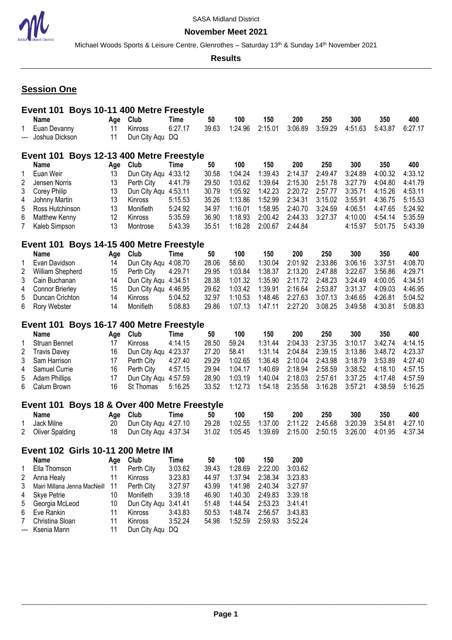

Michael Woods Sports & Leisure Centre, Glenrothes - Saturday 13<sup>th</sup> & Sunday 14<sup>th</sup> November 2021

**Results**

# **Session One**

|                     | Event 101 Boys 10-11 400 Metre Freestyle  |          |                                            |                    |                |                    |                    |                    |                |                |                |                |
|---------------------|-------------------------------------------|----------|--------------------------------------------|--------------------|----------------|--------------------|--------------------|--------------------|----------------|----------------|----------------|----------------|
|                     | <b>Name</b>                               | Age      | Club                                       | Time               | 50             | 100                | 150                | 200                | 250            | 300            | 350            | 400            |
| 1                   | Euan Devanny                              | 11       | Kinross                                    | 6:27.17            | 39.63          | 1:24.96            | 2:15.01            | 3:06.89            | 3:59.29        | 4:51.63        | 5:43.87        | 6:27.17        |
| ---                 | Joshua Dickson                            | 11       | Dun City Aqu DQ                            |                    |                |                    |                    |                    |                |                |                |                |
|                     | Event 101 Boys 12-13 400 Metre Freestyle  |          |                                            |                    |                |                    |                    |                    |                |                |                |                |
|                     |                                           |          |                                            |                    |                |                    |                    |                    |                |                |                |                |
|                     | <b>Name</b>                               | Age      | Club                                       | Time<br>4:33.12    | 50<br>30.58    | 100                | 150<br>1:39.43     | 200<br>2:14.37     | 250<br>2:49.47 | 300<br>3:24.89 | 350<br>4:00.32 | 400<br>4:33.12 |
| 1<br>$\overline{2}$ | Euan Weir                                 | 13<br>13 | Dun City Aqu                               |                    | 29.50          | 1:04.24<br>1:03.62 | 1:39.64            | 2:15.30            | 2:51.78        | 3:27.79        | 4:04.80        | 4:41.79        |
| 3                   | Jensen Norris                             | 13       | Perth City<br>Dun City Aqu 4:53.11         | 4:41.79            | 30.79          | 1:05.92            | 1:42.23            | 2:20.72            | 2:57.77        | 3:35.71        | 4:15.26        | 4:53.11        |
| 4                   | Corey Philip<br>Johnny Martin             | 13       | Kinross                                    | 5:15.53            | 35.26          | 1:13.86            | 1:52.99            | 2:34.31            | 3:15.02        | 3:55.91        | 4:36.75        | 5:15.53        |
| 5                   | Ross Hutchinson                           | 13       | Monifieth                                  | 5:24.92            | 34.97          | 1:16.01            | 1:58.95            | 2:40.70            | 3:24.59        | 4:06.51        | 4:47.65        | 5:24.92        |
| 6                   | <b>Matthew Kenny</b>                      | 12       | Kinross                                    | 5:35.59            | 36.90          | 1:18.93            | 2:00.42            | 2:44.33            | 3:27.37        | 4:10.00        | 4:54.14        | 5:35.59        |
| 7                   | Kaleb Simpson                             | 13       | Montrose                                   | 5:43.39            | 35.51          | 1:16.28            | 2:00.67            | 2:44.84            |                | 4:15.97        | 5:01.75        | 5:43.39        |
|                     |                                           |          |                                            |                    |                |                    |                    |                    |                |                |                |                |
|                     | Event 101 Boys 14-15 400 Metre Freestyle  |          |                                            |                    |                |                    |                    |                    |                |                |                |                |
|                     | <b>Name</b>                               | Age      | Club                                       | <b>Time</b>        | 50             | 100                | 150                | 200                | 250            | 300            | 350            | 400            |
| 1                   | Evan Davidson                             | 14       | Dun City Aqu 4:08.70                       |                    | 28.06          | 58.60              | 1:30.04            | 2:01.92            | 2:33.86        | 3:06.16        | 3:37.51        | 4:08.70        |
| $\overline{2}$      | William Shepherd                          | 15       | Perth City                                 | 4:29.71            | 29.95          | 1:03.84            | 1:38.37            | 2:13.20            | 2:47.88        | 3:22.67        | 3:56.86        | 4:29.71        |
| 3                   | Cain Buchanan                             | 14       | Dun City Aqu 4:34.51                       |                    | 28.38          | 1:01.32            | 1:35.90            | 2:11.72            | 2:48.23        | 3:24.49        | 4:00.05        | 4:34.51        |
| 4                   | <b>Connor Brierley</b>                    | 15       | Dun City Aqu 4:46.95                       |                    | 29.62          | 1:03.42            | 1:39.91            | 2:16.64            | 2:53.87        | 3:31.37        | 4:09.03        | 4:46.95        |
| 5                   | Duncan Crichton                           | 14       | Kinross                                    | 5:04.52            | 32.97          | 1:10.53            | 1:48.46            | 2:27.63            | 3:07.13        | 3:46.65        | 4:26.81        | 5:04.52        |
| 6                   | Rory Webster                              | 14       | Monifieth                                  | 5:08.83            | 29.86          | 1:07.13            | 1:47.11            | 2:27.20            | 3:08.25        | 3:49.58        | 4:30.81        | 5:08.83        |
|                     | Event 101 Boys 16-17 400 Metre Freestyle  |          |                                            |                    |                |                    |                    |                    |                |                |                |                |
|                     | <b>Name</b>                               | Age      | Club                                       | <b>Time</b>        | 50             | 100                | 150                | 200                | 250            | 300            | 350            | 400            |
| 1                   | Struan Bennet                             | 17       | Kinross                                    | 4:14.15            | 28.50          | 59.24              | 1:31.44            | 2:04.33            | 2:37.35        | 3:10.17        | 3:42.74        | 4:14.15        |
| $\overline{2}$      | <b>Travis Davey</b>                       | 16       | Dun City Aqu 4:23.37                       |                    | 27.20          | 58.41              | 1:31.14            | 2:04.84            | 2:39.15        | 3:13.86        | 3:48.72        | 4:23.37        |
| 3                   | Sam Harrison                              | 17       | Perth City                                 | 4:27.40            | 29.29          | 1:02.65            | 1:36.48            | 2:10.04            | 2:43.98        | 3:18.79        | 3:53.89        | 4:27.40        |
| 4                   | Samuel Currie                             | 16       | Perth City                                 | 4:57.15            | 29.94          | 1:04.17            | 1:40.69            | 2:18.94            | 2:58.59        | 3:38.52        | 4:18.10        | 4:57.15        |
| 5                   | <b>Adam Phillips</b>                      | 17       | Dun City Aqu 4:57.59                       |                    | 28.90          | 1:03.19            | 1:40.04            | 2:18.03            | 2:57.61        | 3:37.25        | 4:17.48        | 4:57.59        |
| 6                   | Calum Brown                               | 16       | St Thomas                                  | 5:16.25            | 33.52          | 1:12.73            | 1:54.18            | 2:35.58            | 3:16.28        | 3:57.21        | 4:38.59        | 5:16.25        |
|                     |                                           |          |                                            |                    |                |                    |                    |                    |                |                |                |                |
|                     | Event 101<br>Name                         | Age      | Boys 18 & Over 400 Metre Freestyle<br>Club | Time               | 50             | 100                | 150                | 200                | 250            | 300            | 350            | 400            |
| 1                   | Jack Milne                                | 20       | Dun City Aqu 4:27.10                       |                    | 29.28          | 1:02.55            | 1:37.00            | 2:11.22            | 2:45.68        | 3:20.39        | 3:54.81        | 4:27.10        |
| 2                   | <b>Oliver Spalding</b>                    | 18       | Dun City Agu 4:37.34                       |                    | 31.02          | 1:05.45            | 1:39.69            | 2:15.00            | 2:50.15        | 3:26.00        | 4:01.95        | 4:37.34        |
|                     |                                           |          |                                            |                    |                |                    |                    |                    |                |                |                |                |
|                     | <b>Event 102 Girls 10-11 200 Metre IM</b> |          |                                            |                    |                |                    |                    |                    |                |                |                |                |
|                     | <b>Name</b>                               | Age      | Club                                       | <b>Time</b>        | 50             | 100                | 150                | 200                |                |                |                |                |
| 1                   | Ella Thomson                              | 11       | Perth City                                 | 3:03.62            | 39.43          | 1:28.69            | 2:22.00            | 3:03.62            |                |                |                |                |
| $\overline{c}$      | Anna Healy                                | 11       | Kinross                                    | 3:23.83            | 44.97          | 1:37.94            | 2:38.34            | 3:23.83            |                |                |                |                |
| 3                   | Mairi Millana Jenna MacNeill              | 11       | Perth City                                 | 3:27.97            | 43.99          | 1:41.98            | 2:40.34            | 3:27.97            |                |                |                |                |
| 4                   | <b>Skye Petrie</b>                        | 10       | Monifieth                                  | 3:39.18            | 46.90          | 1:40.30            | 2:49.83            | 3:39.18            |                |                |                |                |
| 5                   | Georgia McLeod<br>Eve Rankin              | 10       | Dun City Aqu 3:41.41                       |                    | 51.48          | 1:44.54<br>1:48.74 | 2:53.23            | 3:41.41            |                |                |                |                |
| 6<br>7              | Christina Sloan                           | 11<br>11 | Kinross<br>Kinross                         | 3:43.83<br>3:52.24 | 50.53<br>54.98 | 1:52.59            | 2:56.57<br>2:59.93 | 3:43.83<br>3:52.24 |                |                |                |                |
|                     | Ksenia Mann                               | 11       | Dun City Aqu DQ                            |                    |                |                    |                    |                    |                |                |                |                |
|                     |                                           |          |                                            |                    |                |                    |                    |                    |                |                |                |                |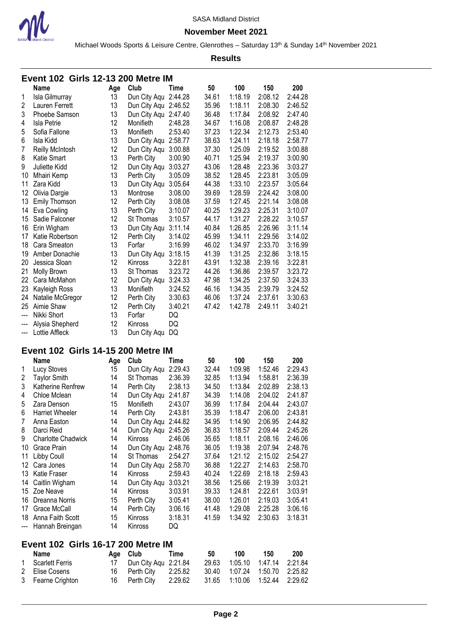

#### **November Meet 2021**

Michael Woods Sports & Leisure Centre, Glenrothes - Saturday 13<sup>th</sup> & Sunday 14<sup>th</sup> November 2021

|                         | <b>Event 102 Girls 12-13 200 Metre IM</b> |          |                                 |                    |                |                    |                    |                    |  |  |  |
|-------------------------|-------------------------------------------|----------|---------------------------------|--------------------|----------------|--------------------|--------------------|--------------------|--|--|--|
|                         | <b>Name</b>                               | Age      | Club                            | Time               | 50             | 100                | 150                | 200                |  |  |  |
| 1                       | Isla Gilmurray                            | 13       | Dun City Aqu 2:44.28            |                    | 34.61          | 1:18.19            | 2:08.12            | 2:44.28            |  |  |  |
| $\overline{c}$          | Lauren Ferrett                            | 13       | Dun City Aqu 2:46.52            |                    | 35.96          | 1:18.11            | 2:08.30            | 2:46.52            |  |  |  |
| 3                       | Phoebe Samson                             | 13       | Dun City Aqu 2:47.40            |                    | 36.48          | 1:17.84            | 2:08.92            | 2:47.40            |  |  |  |
| 4                       | Isla Petrie                               | 12       | Monifieth                       | 2:48.28            | 34.67          | 1:16.08            | 2:08.87            | 2:48.28            |  |  |  |
| 5                       | Sofia Fallone                             | 13       | Monifieth                       | 2:53.40            | 37.23          | 1:22.34            | 2:12.73            | 2:53.40            |  |  |  |
| 6                       | Isla Kidd                                 | 13       | Dun City Aqu 2:58.77            |                    | 38.63          | 1:24.11            | 2:18.18            | 2:58.77            |  |  |  |
| $\overline{7}$          | Reilly McIntosh                           | 12       | Dun City Aqu 3:00.88            |                    | 37.30          | 1:25.09            | 2:19.52            | 3:00.88            |  |  |  |
| 8                       | Katie Smart                               | 13       | Perth City                      | 3:00.90            | 40.71          | 1:25.94            | 2:19.37            | 3:00.90            |  |  |  |
| 9                       | Juliette Kidd                             | 12       | Dun City Aqu 3:03.27            |                    | 43.06          | 1:28.48            | 2:23.36            | 3:03.27            |  |  |  |
| 10                      | Mhairi Kemp                               | 13       | Perth City                      | 3:05.09            | 38.52          | 1:28.45            | 2:23.81            | 3:05.09            |  |  |  |
| 11                      | Zara Kidd                                 | 13       | Dun City Aqu                    | 3:05.64            | 44.38          | 1:33.10            | 2:23.57            | 3:05.64            |  |  |  |
| 12                      | Olivia Dargie                             | 13       | Montrose                        | 3:08.00            | 39.69          | 1:28.59            | 2:24.42            | 3:08.00            |  |  |  |
| 13                      | <b>Emily Thomson</b>                      | 12       | Perth City                      | 3:08.08            | 37.59          | 1:27.45            | 2:21.14            | 3:08.08            |  |  |  |
| 14                      | Eva Cowling                               | 13       | Perth City                      | 3:10.07            | 40.25          | 1:29.23            | 2:25.31            | 3:10.07            |  |  |  |
| 15                      | Sadie Falconer                            | 12       | St Thomas                       | 3:10.57            | 44.17          | 1:31.27            | 2:28.22            | 3:10.57            |  |  |  |
| 16                      | Erin Wigham                               | 13       | Dun City Aqu                    | 3:11.14            | 40.84          | 1:26.85            | 2:26.96            | 3:11.14            |  |  |  |
| 17                      | Katie Robertson                           | 12       | Perth City                      | 3:14.02            | 45.99          | 1:34.11            | 2:29.56            | 3:14.02            |  |  |  |
| 18                      | Cara Smeaton                              | 13       | Forfar                          | 3:16.99            | 46.02          | 1:34.97            | 2:33.70            | 3:16.99            |  |  |  |
| 19                      | Amber Donachie                            | 13       | Dun City Aqu 3:18.15            |                    | 41.39          | 1:31.25            | 2:32.86            | 3:18.15            |  |  |  |
| 20                      | Jessica Sloan                             | 12       | Kinross                         | 3:22.81            | 43.91          | 1:32.38            | 2:39.16            | 3:22.81            |  |  |  |
| 21                      | Molly Brown                               | 13       | St Thomas                       | 3:23.72            | 44.26          | 1:36.86            | 2:39.57            | 3:23.72            |  |  |  |
| 22                      | Cara McMahon                              | 12       |                                 | 3:24.33            | 47.98          | 1:34.25            | 2:37.50            | 3:24.33            |  |  |  |
| 23                      |                                           | 13       | Dun City Aqu<br>Monifieth       | 3:24.52            | 46.16          | 1:34.35            | 2:39.79            | 3:24.52            |  |  |  |
| 24                      | Kayleigh Ross                             | 12       |                                 | 3:30.63            | 46.06          | 1:37.24            | 2:37.61            | 3:30.63            |  |  |  |
| 25                      | Natalie McGregor<br>Aimie Shaw            | 12       | Perth City<br>Perth City        | 3:40.21            | 47.42          | 1:42.78            | 2:49.11            | 3:40.21            |  |  |  |
| ---                     | Nikki Short                               | 13       | Forfar                          | DQ                 |                |                    |                    |                    |  |  |  |
| ---                     | Alysia Shepherd                           | 12       | Kinross                         | DQ                 |                |                    |                    |                    |  |  |  |
|                         |                                           |          |                                 |                    |                |                    |                    |                    |  |  |  |
|                         |                                           |          |                                 |                    |                |                    |                    |                    |  |  |  |
| ---                     | Lottie Affleck                            | 13       | Dun City Aqu                    | DQ                 |                |                    |                    |                    |  |  |  |
|                         | <b>Event 102 Girls 14-15 200 Metre IM</b> |          |                                 |                    |                |                    |                    |                    |  |  |  |
|                         | <b>Name</b>                               | Age      | Club                            | Time               | 50             | 100                | 150                | 200                |  |  |  |
| 1                       | Lucy Stoves                               | 15       | Dun City Aqu 2:29.43            |                    | 32.44          | 1:09.98            | 1:52.46            | 2:29.43            |  |  |  |
| $\overline{\mathbf{c}}$ | <b>Taylor Smith</b>                       | 14       | St Thomas                       | 2:36.39            | 32.85          | 1:13.94            | 1:58.81            | 2:36.39            |  |  |  |
| 3                       | Katherine Renfrew                         | 14       | Perth City                      | 2:38.13            | 34.50          | 1:13.84            | 2:02.89            | 2:38.13            |  |  |  |
| 4                       | Chloe Mclean                              | 14       | Dun City Aqu 2:41.87            |                    | 34.39          | 1:14.08            | 2:04.02            | 2:41.87            |  |  |  |
| 5                       | Zara Denson                               | 15       | Monifieth                       | 2:43.07            | 36.99          | 1:17.84            | 2:04.44            | 2:43.07            |  |  |  |
| 6                       |                                           | 14       |                                 |                    | 35.39          | 1:18.47            | 2:06.00            |                    |  |  |  |
| 7                       | Harriet Wheeler                           | 14       | Perth City                      | 2:43.81            | 34.95          | 1:14.90            | 2:06.95            | 2:43.81<br>2:44.82 |  |  |  |
| 8                       | Anna Easton<br>Darci Reid                 | 14       | Dun City Aqu 2:44.82            |                    | 36.83          | 1:18.57            | 2:09.44            | 2:45.26            |  |  |  |
| 9                       | Charlotte Chadwick                        | 14       | Dun City Aqu 2:45.26<br>Kinross | 2:46.06            | 35.65          | 1:18.11            | 2:08.16            | 2:46.06            |  |  |  |
|                         | 10 Grace Prain                            | 14       | Dun City Aqu 2:48.76            |                    |                |                    |                    | 2:48.76            |  |  |  |
|                         |                                           | 14       |                                 | 2:54.27            | 36.05          | 1:19.38            | 2:07.94            |                    |  |  |  |
|                         | 11 Libby Coull                            | 14       | St Thomas                       |                    | 37.64          | 1:21.12            | 2:15.02            | 2:54.27            |  |  |  |
|                         | 12 Cara Jones                             |          | Dun City Aqu 2:58.70            |                    | 36.88          | 1:22.27            | 2:14.63            | 2:58.70            |  |  |  |
|                         | 13 Katie Fraser                           | 14       | Kinross                         | 2:59.43            | 40.24          | 1:22.69            | 2:18.18            | 2:59.43            |  |  |  |
|                         | 14 Caitlin Wigham                         | 14       | Dun City Aqu 3:03.21            |                    | 38.56          | 1:25.66            | 2:19.39<br>2:22.61 | 3:03.21            |  |  |  |
|                         | 15 Zoe Neave                              | 14       | Kinross                         | 3:03.91            | 39.33          | 1:24.81            |                    | 3:03.91            |  |  |  |
|                         | 16 Dreanna Norris                         | 15       | Perth City                      | 3:05.41            | 38.00          | 1:26.01            | 2:19.03            | 3:05.41            |  |  |  |
|                         | 17 Grace McCall                           | 14<br>15 | Perth City<br>Kinross           | 3:06.16            | 41.48          | 1:29.08            | 2:25.28            | 3:06.16            |  |  |  |
| ---                     | 18 Anna Faith Scott<br>Hannah Breingan    | 14       | Kinross                         | 3:18.31<br>DQ      | 41.59          | 1:34.92            | 2:30.63            | 3:18.31            |  |  |  |
|                         |                                           |          |                                 |                    |                |                    |                    |                    |  |  |  |
|                         | <b>Event 102 Girls 16-17 200 Metre IM</b> |          |                                 |                    |                |                    |                    |                    |  |  |  |
|                         | <b>Name</b>                               | Age      | Club                            | Time               | 50             | 100                | 150                | 200                |  |  |  |
| 1                       | <b>Scarlett Ferris</b>                    | 17       | Dun City Aqu 2:21.84            |                    | 29.63          | 1:05.10            | 1:47.14            | 2:21.84            |  |  |  |
| 2<br>3                  | Elise Cosens<br>Fearne Crighton           | 16<br>16 | Perth City<br>Perth City        | 2:25.82<br>2:29.62 | 30.40<br>31.65 | 1:07.24<br>1:10.06 | 1:50.70<br>1:52.44 | 2:25.82<br>2:29.62 |  |  |  |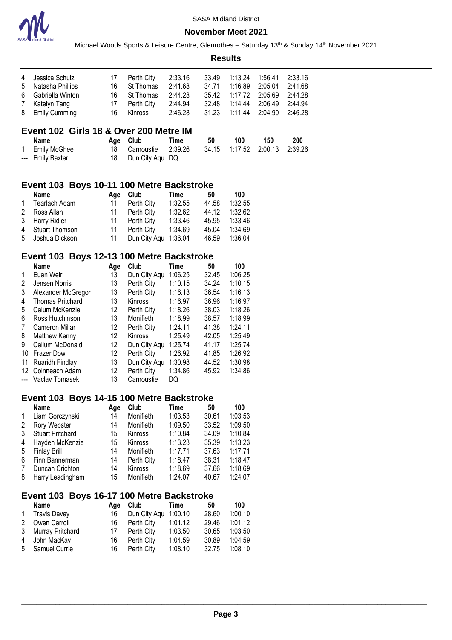

Michael Woods Sports & Leisure Centre, Glenrothes - Saturday 13<sup>th</sup> & Sunday 14<sup>th</sup> November 2021 **Results**

| 4 Jessica Schulz   | 17 | Perth City    | 2:33.16 | 33.49 |                                  |  |
|--------------------|----|---------------|---------|-------|----------------------------------|--|
| 5 Natasha Phillips |    | 16 St Thomas  | 2:41.68 |       | 34.71  1:16.89  2:05.04  2:41.68 |  |
| 6 Gabriella Winton |    | 16 St Thomas  | 2:44.28 |       | 35.42 1:17.72 2:05.69 2:44.28    |  |
| 7 Katelyn Tang     |    | 17 Perth City | 2:44.94 | 32.48 | 1:14.44  2:06.49  2:44.94        |  |
| 8 Emily Cumming    | 16 | Kinross       | 2:46.28 |       | 31.23  1:11.44  2:04.90  2:46.28 |  |

# **Event 102 Girls 18 & Over 200 Metre IM**

| Name             | Age Club                                            | Time | 50 | 100 | 150 | 200 |
|------------------|-----------------------------------------------------|------|----|-----|-----|-----|
| 1 Emily McGhee   | 18 Carnoustie 2:39.26 34.15 1:17.52 2:00.13 2:39.26 |      |    |     |     |     |
| --- Emily Baxter | 18 Dun City Agu DQ                                  |      |    |     |     |     |

#### **Event 103 Boys 10-11 100 Metre Backstroke**

| Name             |    | Age Club             | Time    | 50    | 100     |
|------------------|----|----------------------|---------|-------|---------|
| 1 Tearlach Adam  | 11 | Perth City           | 1:32.55 | 44.58 | 1:32.55 |
| 2 Ross Allan     |    | 11 Perth City        | 1:32.62 | 44.12 | 1:32.62 |
| 3 Harry Ridler   |    | 11 Perth City        | 1:33.46 | 45.95 | 1:33.46 |
| 4 Stuart Thomson | 11 | Perth City           | 1:34.69 | 45.04 | 1:34.69 |
| 5 Joshua Dickson | 11 | Dun City Aqu 1:36.04 |         | 46.59 | 1:36.04 |

### **Event 103 Boys 12-13 100 Metre Backstroke**

|    | <b>Name</b>             | Age               | Club           | Time    | 50    | 100     |
|----|-------------------------|-------------------|----------------|---------|-------|---------|
| 1  | Euan Weir               | 13                | Dun City Aqu   | 1:06.25 | 32.45 | 1:06.25 |
| 2  | Jensen Norris           | 13                | Perth City     | 1:10.15 | 34.24 | 1:10.15 |
| 3  | Alexander McGregor      | 13                | Perth City     | 1:16.13 | 36.54 | 1:16.13 |
| 4  | <b>Thomas Pritchard</b> | 13                | Kinross        | 1:16.97 | 36.96 | 1:16.97 |
| 5  | Calum McKenzie          | 12                | Perth City     | 1:18.26 | 38.03 | 1:18.26 |
| 6  | Ross Hutchinson         | 13                | Monifieth      | 1:18.99 | 38.57 | 1:18.99 |
| 7  | <b>Cameron Millar</b>   | $12 \overline{ }$ | Perth City     | 1:24.11 | 41.38 | 1:24.11 |
| 8  | Matthew Kenny           | $12 \overline{ }$ | <b>Kinross</b> | 1:25.49 | 42.05 | 1:25.49 |
| 9  | Callum McDonald         | 12                | Dun City Aqu   | 1:25.74 | 41.17 | 1:25.74 |
| 10 | <b>Frazer Dow</b>       | 12                | Perth City     | 1:26.92 | 41.85 | 1:26.92 |
| 11 | Ruaridh Findlay         | 13                | Dun City Aqu   | 1:30.98 | 44.52 | 1:30.98 |
| 12 | Coinneach Adam          | 12                | Perth City     | 1:34.86 | 45.92 | 1:34.86 |
|    | Vaclav Tomasek          | 13                | Carnoustie     | DQ      |       |         |

### **Event 103 Boys 14-15 100 Metre Backstroke**

|              | Name                    | Age | Club           | Time    | 50    | 100     |
|--------------|-------------------------|-----|----------------|---------|-------|---------|
| $\mathbf{1}$ | Liam Gorczynski         | 14  | Monifieth      | 1:03.53 | 30.61 | 1:03.53 |
| 2            | Rory Webster            | 14  | Monifieth      | 1:09.50 | 33.52 | 1:09.50 |
| 3            | <b>Stuart Pritchard</b> | 15  | <b>Kinross</b> | 1:10.84 | 34.09 | 1:10.84 |
| 4            | Hayden McKenzie         | 15  | <b>Kinross</b> | 1:13.23 | 35.39 | 1:13.23 |
| 5            | <b>Finlay Brill</b>     | 14  | Monifieth      | 1:17.71 | 37.63 | 1:17.71 |
| 6            | Finn Bannerman          | 14  | Perth City     | 1:18.47 | 38.31 | 1:18.47 |
| 7            | Duncan Crichton         | 14  | <b>Kinross</b> | 1:18.69 | 37.66 | 1:18.69 |
| 8            | Harry Leadingham        | 15  | Monifieth      | 1:24.07 | 40.67 | 1:24.07 |

### **Event 103 Boys 16-17 100 Metre Backstroke**

| Name               | Aae | Club                 | Time    | 50    | 100     |
|--------------------|-----|----------------------|---------|-------|---------|
| 1 Travis Davey     | 16  | Dun City Aqu 1:00.10 |         | 28.60 | 1:00.10 |
| 2 Owen Carroll     | 16  | Perth City           | 1:01.12 | 29.46 | 1:01.12 |
| 3 Murray Pritchard | 17  | Perth City           | 1:03.50 | 30.65 | 1:03.50 |
| 4 John MacKay      | 16  | Perth City           | 1:04.59 | 30.89 | 1:04.59 |
| 5 Samuel Currie    | 16  | Perth City           | 1:08.10 | 32.75 | 1:08.10 |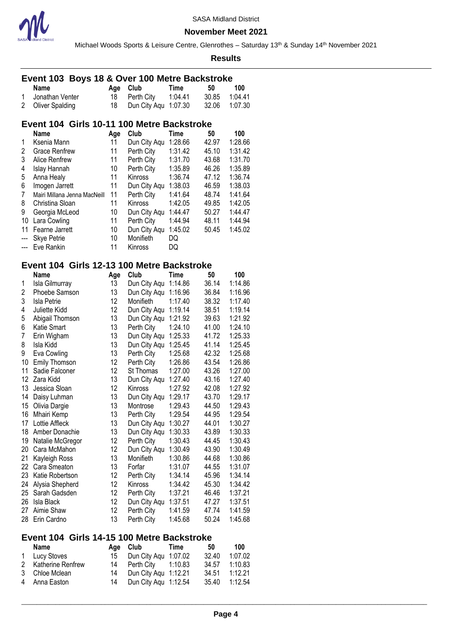

Michael Woods Sports & Leisure Centre, Glenrothes - Saturday 13<sup>th</sup> & Sunday 14<sup>th</sup> November 2021

#### **Results**

### **Event 103 Boys 18 & Over 100 Metre Backstroke**

| Name              | Age Club                | Time | -50           | 100 |
|-------------------|-------------------------|------|---------------|-----|
| 1 Jonathan Venter | 18 Perth City 1:04.41   |      | 30.85 1:04.41 |     |
| 2 Oliver Spalding | 18 Dun City Agu 1:07.30 |      | 32.06 1.07.30 |     |

# **Event 104 Girls 10-11 100 Metre Backstroke**

|                | Name                         | Age | Club           | Time    | 50    | 100     |
|----------------|------------------------------|-----|----------------|---------|-------|---------|
| 1              | Ksenia Mann                  | 11  | Dun City Aqu   | 1:28.66 | 42.97 | 1:28.66 |
| 2              | <b>Grace Renfrew</b>         | 11  | Perth City     | 1:31.42 | 45.10 | 1:31.42 |
| 3              | Alice Renfrew                | 11  | Perth City     | 1:31.70 | 43.68 | 1:31.70 |
| 4              | Islay Hannah                 | 10  | Perth City     | 1:35.89 | 46.26 | 1:35.89 |
| 5              | Anna Healy                   | 11  | <b>Kinross</b> | 1:36.74 | 47.12 | 1:36.74 |
| 6              | Imogen Jarrett               | 11  | Dun City Aqu   | 1:38.03 | 46.59 | 1:38.03 |
| 7              | Mairi Millana Jenna MacNeill | 11  | Perth City     | 1:41.64 | 48.74 | 1:41.64 |
| 8              | Christina Sloan              | 11  | Kinross        | 1:42.05 | 49.85 | 1:42.05 |
| 9              | Georgia McLeod               | 10  | Dun City Aqu   | 1:44.47 | 50.27 | 1:44.47 |
| 10             | Lara Cowling                 | 11  | Perth City     | 1:44.94 | 48.11 | 1:44.94 |
| 11             | Fearne Jarrett               | 10  | Dun City Aqu   | 1:45.02 | 50.45 | 1:45.02 |
|                | <b>Skye Petrie</b>           | 10  | Monifieth      | DQ      |       |         |
| $\overline{a}$ | Eve Rankin                   | 11  | Kinross        | DQ      |       |         |

# **Event 104 Girls 12-13 100 Metre Backstroke**

|    | Name             | Age | Club         | Time    | 50    | 100     |
|----|------------------|-----|--------------|---------|-------|---------|
| 1  | Isla Gilmurray   | 13  | Dun City Aqu | 1:14.86 | 36.14 | 1:14.86 |
| 2  | Phoebe Samson    | 13  | Dun City Aqu | 1:16.96 | 36.84 | 1:16.96 |
| 3  | Isla Petrie      | 12  | Monifieth    | 1:17.40 | 38.32 | 1:17.40 |
| 4  | Juliette Kidd    | 12  | Dun City Aqu | 1:19.14 | 38.51 | 1:19.14 |
| 5  | Abigail Thomson  | 13  | Dun City Aqu | 1:21.92 | 39.63 | 1:21.92 |
| 6  | Katie Smart      | 13  | Perth City   | 1:24.10 | 41.00 | 1:24.10 |
| 7  | Erin Wigham      | 13  | Dun City Aqu | 1:25.33 | 41.72 | 1:25.33 |
| 8  | Isla Kidd        | 13  | Dun City Aqu | 1:25.45 | 41.14 | 1:25.45 |
| 9  | Eva Cowling      | 13  | Perth City   | 1:25.68 | 42.32 | 1:25.68 |
| 10 | Emily Thomson    | 12  | Perth City   | 1:26.86 | 43.54 | 1:26.86 |
| 11 | Sadie Falconer   | 12  | St Thomas    | 1:27.00 | 43.26 | 1:27.00 |
| 12 | Zara Kidd        | 13  | Dun City Aqu | 1:27.40 | 43.16 | 1:27.40 |
| 13 | Jessica Sloan    | 12  | Kinross      | 1:27.92 | 42.08 | 1:27.92 |
| 14 | Daisy Luhman     | 13  | Dun City Aqu | 1:29.17 | 43.70 | 1:29.17 |
| 15 | Olivia Dargie    | 13  | Montrose     | 1:29.43 | 44.50 | 1:29.43 |
| 16 | Mhairi Kemp      | 13  | Perth City   | 1:29.54 | 44.95 | 1:29.54 |
| 17 | Lottie Affleck   | 13  | Dun City Aqu | 1:30.27 | 44.01 | 1:30.27 |
| 18 | Amber Donachie   | 13  | Dun City Aqu | 1:30.33 | 43.89 | 1:30.33 |
| 19 | Natalie McGregor | 12  | Perth City   | 1:30.43 | 44.45 | 1:30.43 |
| 20 | Cara McMahon     | 12  | Dun City Aqu | 1:30.49 | 43.90 | 1:30.49 |
| 21 | Kayleigh Ross    | 13  | Monifieth    | 1:30.86 | 44.68 | 1:30.86 |
| 22 | Cara Smeaton     | 13  | Forfar       | 1:31.07 | 44.55 | 1:31.07 |
| 23 | Katie Robertson  | 12  | Perth City   | 1:34.14 | 45.96 | 1:34.14 |
| 24 | Alysia Shepherd  | 12  | Kinross      | 1:34.42 | 45.30 | 1:34.42 |
| 25 | Sarah Gadsden    | 12  | Perth City   | 1:37.21 | 46.46 | 1:37.21 |
| 26 | Isla Black       | 12  | Dun City Aqu | 1:37.51 | 47.27 | 1:37.51 |
| 27 | Aimie Shaw       | 12  | Perth City   | 1:41.59 | 47.74 | 1:41.59 |
| 28 | Erin Cardno      | 13  | Perth City   | 1:45.68 | 50.24 | 1:45.68 |

# **Event 104 Girls 14-15 100 Metre Backstroke**

| Name                |    | Age Club                | <b>Time</b> | 50    | 100     |
|---------------------|----|-------------------------|-------------|-------|---------|
| 1 Lucy Stoves       | 15 | Dun City Agu 1:07.02    |             | 32.40 | 1:07.02 |
| 2 Katherine Renfrew |    | 14 Perth City  1:10.83  |             | 34.57 | 1:10.83 |
| 3 Chloe Mclean      |    | 14 Dun City Agu 1:12.21 |             | 34.51 | 1:12.21 |
| 4 Anna Easton       | 14 | Dun City Aqu 1:12.54    |             | 35.40 | 1:12.54 |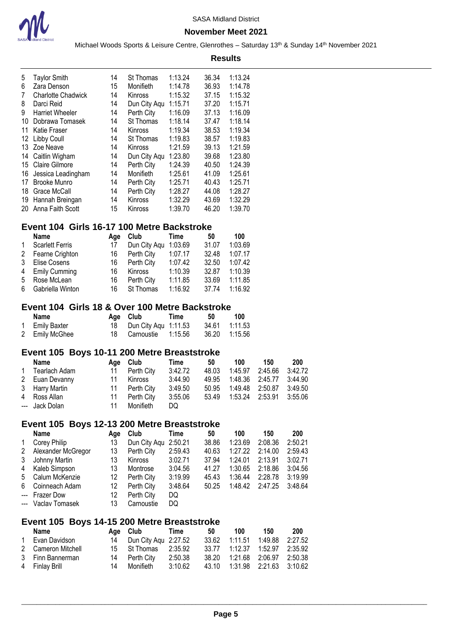

#### **November Meet 2021**

Michael Woods Sports & Leisure Centre, Glenrothes - Saturday 13<sup>th</sup> & Sunday 14<sup>th</sup> November 2021 **Results**

| 5  | <b>Taylor Smith</b>                        | 14  | St Thomas      | 1:13.24 | 36.34 | 1:13.24 |
|----|--------------------------------------------|-----|----------------|---------|-------|---------|
| 6  | Zara Denson                                | 15  | Monifieth      | 1:14.78 | 36.93 | 1:14.78 |
| 7  | <b>Charlotte Chadwick</b>                  | 14  | Kinross        | 1:15.32 | 37.15 | 1:15.32 |
| 8  | Darci Reid                                 | 14  | Dun City Aqu   | 1:15.71 | 37.20 | 1:15.71 |
| 9  | <b>Harriet Wheeler</b>                     | 14  | Perth City     | 1:16.09 | 37.13 | 1:16.09 |
| 10 | Dobrawa Tomasek                            | 14  | St Thomas      | 1:18.14 | 37.47 | 1:18.14 |
| 11 | Katie Fraser                               | 14  | <b>Kinross</b> | 1:19.34 | 38.53 | 1:19.34 |
| 12 | Libby Coull                                | 14  | St Thomas      | 1:19.83 | 38.57 | 1:19.83 |
| 13 | Zoe Neave                                  | 14  | Kinross        | 1:21.59 | 39.13 | 1:21.59 |
| 14 | Caitlin Wigham                             | 14  | Dun City Aqu   | 1:23.80 | 39.68 | 1:23.80 |
| 15 | <b>Claire Gilmore</b>                      | 14  | Perth City     | 1:24.39 | 40.50 | 1:24.39 |
| 16 | Jessica Leadingham                         | 14  | Monifieth      | 1:25.61 | 41.09 | 1:25.61 |
| 17 | <b>Brooke Munro</b>                        | 14  | Perth City     | 1:25.71 | 40.43 | 1:25.71 |
| 18 | Grace McCall                               | 14  | Perth City     | 1:28.27 | 44.08 | 1:28.27 |
| 19 | Hannah Breingan                            | 14  | Kinross        | 1:32.29 | 43.69 | 1:32.29 |
| 20 | Anna Faith Scott                           | 15  | Kinross        | 1:39.70 | 46.20 | 1:39.70 |
|    |                                            |     |                |         |       |         |
|    | Event 104 Girls 16-17 100 Metre Backstroke |     |                |         |       |         |
|    | Name                                       | Age | Club           | Time    | 50    | 100     |
| 1  | <b>Scarlett Ferris</b>                     | 17  | Dun City Aqu   | 1:03.69 | 31.07 | 1:03.69 |
| 2  | Fearne Crighton                            | 16  | Perth City     | 1:07.17 | 32.48 | 1:07.17 |
| 3  | Elise Cosens                               | 16  | Perth City     | 1:07.42 | 32.50 | 1:07.42 |
| 4  | <b>Emily Cumming</b>                       | 16  | Kinross        | 1:10.39 | 32.87 | 1:10.39 |
| 5  | Rose McLean                                | 16  | Perth City     | 1:11.85 | 33.69 | 1:11.85 |
| 6  | Gabriella Winton                           | 16  | St Thomas      | 1:16.92 | 37.74 | 1:16.92 |

## **Event 104 Girls 18 & Over 100 Metre Backstroke**

| Name           | Age Club                | Time | 50 | 100           |
|----------------|-------------------------|------|----|---------------|
| 1 Emily Baxter | 18 Dun City Agu 1:11.53 |      |    | 34.61 1:11.53 |
| 2 Emily McGhee | 18 Carnoustie 1:15.56   |      |    | 36.20 1:15.56 |

# **Event 105 Boys 10-11 200 Metre Breaststroke**

| Name            |    | Age Club      | Time    | 50    | 100 | 150                           | 200 |
|-----------------|----|---------------|---------|-------|-----|-------------------------------|-----|
| 1 Tearlach Adam |    | 11 Perth City | 3:42.72 | 48.03 |     | 1:45.97 2:45.66 3:42.72       |     |
| 2 Euan Devanny  | 11 | Kinross       | 3:44.90 |       |     | 49.95 1:48.36 2:45.77 3:44.90 |     |
| 3 Harry Martin  |    | 11 Perth City | 3:49.50 |       |     | 50.95 1:49.48 2:50.87 3:49.50 |     |
| 4 Ross Allan    | 11 | Perth City    | 3:55.06 |       |     | 53.49 1:53.24 2:53.91 3:55.06 |     |
| --- Jack Dolan  | 11 | Monifieth     | DQ.     |       |     |                               |     |

# **Event 105 Boys 12-13 200 Metre Breaststroke**

|              | <b>Name</b>        | Age | Club                 | Time    | 50    | 100     | 150     | 200     |
|--------------|--------------------|-----|----------------------|---------|-------|---------|---------|---------|
| $\mathbf{1}$ | Corey Philip       | 13  | Dun City Aqu 2:50.21 |         | 38.86 | 1:23.69 | 2:08.36 | 2:50.21 |
| 2            | Alexander McGregor | 13  | Perth City           | 2:59.43 | 40.63 | 1:27.22 | 2:14.00 | 2:59.43 |
| 3            | Johnny Martin      | 13  | <b>Kinross</b>       | 3:02.71 | 37.94 | 1:24.01 | 2:13.91 | 3:02.71 |
| 4            | Kaleb Simpson      | 13  | Montrose             | 3:04.56 | 41.27 | 1:30.65 | 2:18.86 | 3:04.56 |
| 5            | Calum McKenzie     | 12  | Perth City           | 3:19.99 | 45.43 | 1:36.44 | 2:28.78 | 3:19.99 |
| 6            | Coinneach Adam     | 12  | Perth City           | 3:48.64 | 50.25 | 1:48.42 | 2:47.25 | 3:48.64 |
|              | --- Frazer Dow     | 12  | Perth City           | DQ      |       |         |         |         |
|              | --- Vaclay Tomasek | 13  | Carnoustie           | DQ      |       |         |         |         |

# **Event 105 Boys 14-15 200 Metre Breaststroke**

| Name               | Age Club Time           |         | 50 | 100 | 150                              | 200 |
|--------------------|-------------------------|---------|----|-----|----------------------------------|-----|
| 1 Evan Davidson    | 14 Dun City Agu 2:27.52 |         |    |     | 33.62  1:11.51  1:49.88  2:27.52 |     |
| 2 Cameron Mitchell | 15 St Thomas 2:35.92    |         |    |     | 33.77 1:12.37 1:52.97 2:35.92    |     |
| 3 Finn Bannerman   | 14 Perth City           | 2:50.38 |    |     |                                  |     |
| 4 Finlay Brill     | 14 Monifieth            | 3:10.62 |    |     | 43.10  1:31.98  2:21.63  3:10.62 |     |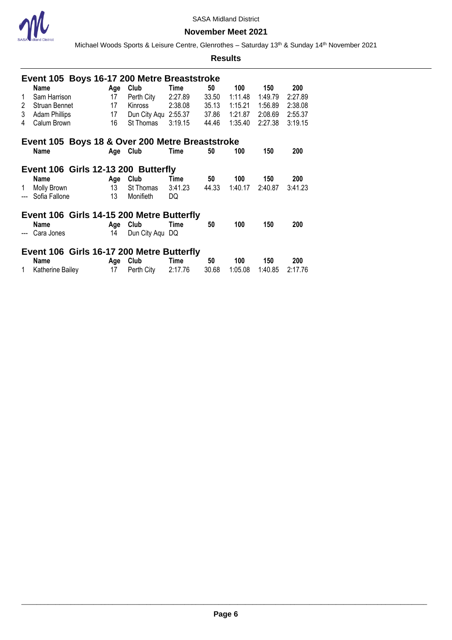

Michael Woods Sports & Leisure Centre, Glenrothes - Saturday 13<sup>th</sup> & Sunday 14<sup>th</sup> November 2021

|             | Event 105 Boys 16-17 200 Metre Breaststroke     |                 |                      |         |       |         |         |         |  |  |
|-------------|-------------------------------------------------|-----------------|----------------------|---------|-------|---------|---------|---------|--|--|
|             | Name                                            | Age             | Club                 | Time    | 50    | 100     | 150     | 200     |  |  |
| 1           | Sam Harrison                                    | 17              | Perth City           | 2:27.89 | 33.50 | 1:11.48 | 1:49.79 | 2:27.89 |  |  |
| $2^{\circ}$ | Struan Bennet                                   | 17              | <b>Kinross</b>       | 2:38.08 | 35.13 | 1:15.21 | 1:56.89 | 2:38.08 |  |  |
| 3           | <b>Adam Phillips</b>                            | 17              | Dun City Agu 2:55.37 |         | 37.86 | 1:21.87 | 2:08.69 | 2:55.37 |  |  |
| 4           | Calum Brown                                     | 16              | St Thomas            | 3:19.15 | 44.46 | 1:35.40 | 2:27.38 | 3:19.15 |  |  |
|             | Event 105 Boys 18 & Over 200 Metre Breaststroke |                 |                      |         |       |         |         |         |  |  |
|             | Name                                            | Age Club        |                      | Time    | 50    | 100     | 150     | 200     |  |  |
|             |                                                 |                 |                      |         |       |         |         |         |  |  |
|             | Event 106 Girls 12-13 200 Butterfly             |                 |                      |         |       |         |         |         |  |  |
|             | <b>Name</b>                                     | Age             | Club                 | Time    | 50    | 100     | 150     | 200     |  |  |
| 1           | Molly Brown                                     | 13 <sup>7</sup> | St Thomas            | 3:41.23 | 44.33 | 1:40.17 | 2:40.87 | 3:41.23 |  |  |
|             | --- Sofia Fallone                               | 13              | Monifieth            | DQ      |       |         |         |         |  |  |
|             | Event 106 Girls 14-15 200 Metre Butterfly       |                 |                      |         |       |         |         |         |  |  |
|             | <b>Name</b>                                     | Age             | Club                 | Time    | 50    | 100     | 150     | 200     |  |  |
|             | --- Cara Jones                                  | 14              | Dun City Aqu DQ      |         |       |         |         |         |  |  |
|             | Event 106 Girls 16-17 200 Metre Butterfly       |                 |                      |         |       |         |         |         |  |  |
|             | Name                                            | Age             | Club                 | Time    | 50    | 100     | 150     | 200     |  |  |
| 1           | Katherine Bailey                                | 17              | Perth City           | 2:17.76 | 30.68 | 1:05.08 |         |         |  |  |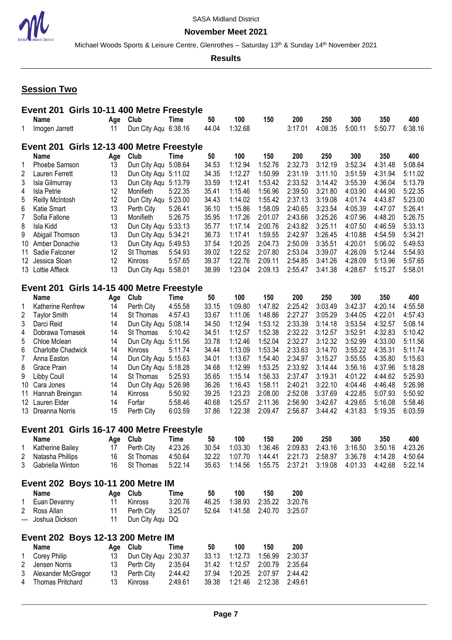

Michael Woods Sports & Leisure Centre, Glenrothes - Saturday 13<sup>th</sup> & Sunday 14<sup>th</sup> November 2021

**Results**

# **Session Two**

|                | Event 201 Girls 10-11 400 Metre Freestyle |           |                                   |                    |                |                    |                    |                    |                    |                    |                    |                    |
|----------------|-------------------------------------------|-----------|-----------------------------------|--------------------|----------------|--------------------|--------------------|--------------------|--------------------|--------------------|--------------------|--------------------|
|                | <b>Name</b>                               | Age       | Club                              | <b>Time</b>        | 50             | 100                | 150                | 200                | 250                | 300                | 350                | 400                |
| 1              | Imogen Jarrett                            | 11        | Dun City Aqu 6:38.16              |                    | 44.04          | 1:32.68            |                    | 3:17.01            | 4:08.35            | 5:00.11            | 5:50.77            | 6:38.16            |
|                | Event 201 Girls 12-13 400 Metre Freestyle |           |                                   |                    |                |                    |                    |                    |                    |                    |                    |                    |
|                | <b>Name</b>                               | Age       | Club                              | <b>Time</b>        | 50             | 100                | 150                | 200                | 250                | 300                | 350                | 400                |
| 1              | Phoebe Samson                             | 13        | Dun City Aqu 5:08.64              |                    | 34.53          | 1:12.94            | 1:52.76            | 2:32.73            | 3:12.19            | 3:52.34            | 4:31.48            | 5:08.64            |
| 2              | Lauren Ferrett                            | 13        | Dun City Aqu 5:11.02              |                    | 34.35          | 1:12.27            | 1:50.99            | 2:31.19            | 3:11.10            | 3:51.59            | 4:31.94            | 5:11.02            |
| 3              | Isla Gilmurray                            | 13        | Dun City Aqu 5:13.79              |                    | 33.59          | 1:12.41            | 1:53.42            | 2:33.52            | 3:14.42            | 3:55.39            | 4:36.04            | 5:13.79            |
| 4              | Isla Petrie                               | 12        | Monifieth                         | 5:22.35            | 35.41          | 1:15.46            | 1:56.96            | 2:39.50            | 3:21.80            | 4:03.90            | 4:44.90            | 5:22.35            |
| 5              | Reilly McIntosh                           | 12        | Dun City Aqu                      | 5:23.00            | 34.43          | 1:14.02            | 1:55.42            | 2:37.13            | 3:19.08            | 4:01.74            | 4:43.87            | 5:23.00            |
| 6              | Katie Smart                               | 13        | Perth City                        | 5:26.41            | 36.10          | 1:15.86            | 1:58.09            | 2:40.65            | 3:23.54            | 4:05.39            | 4:47.07            | 5:26.41            |
| $\overline{7}$ | Sofia Fallone                             | 13        | Monifieth                         | 5:26.75            | 35.95          | 1:17.26            | 2:01.07            | 2:43.66            | 3:25.26            | 4:07.96            | 4:48.20            | 5:26.75            |
| 8              | Isla Kidd                                 | 13        | Dun City Aqu 5:33.13              |                    | 35.77          | 1:17.14            | 2:00.76            | 2:43.82            | 3:25.11            | 4:07.50            | 4:46.59            | 5:33.13            |
| 9              | Abigail Thomson                           | 13        | Dun City Aqu 5:34.21              |                    | 36.73          | 1:17.41            | 1:59.55            | 2:42.97            | 3:26.45            | 4:10.88            | 4:54.59            | 5:34.21            |
| 10             | Amber Donachie                            | 13        | Dun City Aqu 5:49.53              |                    | 37.54          | 1:20.25            | 2:04.73            | 2:50.09            | 3:35.51            | 4:20.01            | 5:06.02            | 5:49.53            |
| 11             | Sadie Falconer                            | 12        | St Thomas                         | 5:54.93            | 39.02          | 1:22.52            | 2:07.80            | 2:53.04            | 3:39.07            | 4:26.09            | 5:12.44            | 5:54.93            |
| 12             | Jessica Sloan                             | 12        | Kinross                           | 5:57.65            | 39.37          | 1:22.76            | 2:09.11            | 2:54.85            | 3:41.26            | 4:28.09            | 5:13.96            | 5:57.65            |
|                | 13 Lottie Affleck                         | 13        | Dun City Agu 5:58.01              |                    | 38.99          | 1:23.04            | 2:09.13            | 2:55.47            | 3:41.38            | 4:28.67            | 5:15.27            | 5:58.01            |
|                | Event 201 Girls 14-15 400 Metre Freestyle |           |                                   |                    |                |                    |                    |                    |                    |                    |                    |                    |
|                | Name                                      |           | Club                              | <b>Time</b>        | 50             | 100                | 150                | 200                | 250                | 300                | 350                | 400                |
|                | Katherine Renfrew                         | Age<br>14 | Perth City                        | 4:55.58            | 33.15          | 1:09.80            | 1:47.82            | 2:25.42            | 3:03.49            | 3:42.37            | 4:20.14            | 4:55.58            |
| 1<br>2         |                                           | 14        |                                   | 4:57.43            | 33.67          | 1:11.06            | 1:48.86            | 2:27.27            | 3:05.29            | 3:44.05            | 4:22.01            | 4:57.43            |
| 3              | <b>Taylor Smith</b><br>Darci Reid         | 14        | St Thomas<br>Dun City Aqu 5:08.14 |                    |                | 1:12.94            | 1:53.12            | 2:33.39            |                    | 3:53.54            | 4:32.57            | 5:08.14            |
|                |                                           | 14        |                                   |                    | 34.50          |                    |                    | 2:32.22            | 3:14.18            | 3:52.91            |                    | 5:10.42            |
| 4<br>5         | Dobrawa Tomasek                           | 14        | St Thomas                         | 5:10.42            | 34.51<br>33.78 | 1:12.57<br>1:12.46 | 1:52.38<br>1:52.04 | 2:32.27            | 3:12.57<br>3:12.32 | 3:52.99            | 4:32.83<br>4:33.00 | 5:11.56            |
|                | Chloe Mclean                              | 14        | Dun City Aqu 5:11.56              |                    |                |                    | 1:53.34            | 2:33.63            | 3:14.70            | 3:55.22            | 4:35.31            |                    |
| 6              | <b>Charlotte Chadwick</b>                 |           | Kinross                           | 5:11.74            | 34.44          | 1:13.09            |                    |                    |                    |                    |                    | 5:11.74            |
| 7              | Anna Easton                               | 14        | Dun City Aqu 5:15.63              |                    | 34.01          | 1:13.67            | 1:54.40            | 2:34.97            | 3:15.27            | 3:55.55            | 4:35.80            | 5:15.63            |
| 8              | Grace Prain                               | 14        | Dun City Aqu 5:18.28              |                    | 34.68          | 1:12.99            | 1:53.25            | 2:33.92            | 3:14.44            | 3:56.16            | 4:37.96            | 5:18.28            |
| 9              | <b>Libby Coull</b>                        | 14        | St Thomas                         | 5:25.93            | 35.65          | 1:15.14            | 1:56.33            | 2:37.47            | 3:19.31            | 4:01.22            | 4:44.62            | 5:25.93            |
| 10             | Cara Jones                                | 14        | Dun City Aqu 5:26.98              |                    | 36.26          | 1:16.43            | 1:58.11            | 2:40.21            | 3:22.10            | 4:04.46            | 4:46.48            | 5:26.98            |
| 11             | Hannah Breingan                           | 14        | Kinross                           | 5:50.92            | 39.25          | 1:23.23            | 2:08.00            | 2:52.08            | 3:37.69            | 4:22.85            | 5:07.93            | 5:50.92            |
| 12             | Lauren Elder<br>13 Dreanna Norris         | 14<br>15  | Forfar<br>Perth City              | 5:58.46<br>6:03.59 | 40.68<br>37.86 | 1:25.57<br>1:22.38 | 2:11.36<br>2:09.47 | 2:56.90<br>2:56.87 | 3:42.67<br>3:44.42 | 4:29.65<br>4:31.83 | 5:16.08<br>5:19.35 | 5:58.46<br>6:03.59 |
|                |                                           |           |                                   |                    |                |                    |                    |                    |                    |                    |                    |                    |
|                | Event 201                                 |           | Girls 16-17 400 Metre Freestyle   |                    |                |                    |                    |                    |                    |                    |                    |                    |
|                | Name                                      | Age       | Club                              | Time               | 50             | 100                | 150                | 200                | 250                | 300                | 350                | 400                |
| 1              | Katherine Bailey                          | 17        | Perth City                        | 4:23.26            | 30.54          | 1:03.30            | 1:36.46            | 2:09.83            | 2:43.16            | 3:16.50            | 3:50.16            | 4:23.26            |
| 2<br>3         | Natasha Phillips<br>Gabriella Winton      | 16<br>16  | St Thomas<br>St Thomas            | 4:50.64<br>5:22.14 | 32.22<br>35.63 | 1:07.70<br>1:14.56 | 1:44.41<br>1:55.75 | 2:21.73<br>2:37.21 | 2:58.97<br>3:19.08 | 3:36.78<br>4:01.33 | 4:14.28<br>4:42.68 | 4:50.64<br>5:22.14 |
|                |                                           |           |                                   |                    |                |                    |                    |                    |                    |                    |                    |                    |
|                | Event 202 Boys 10-11 200 Metre IM         |           |                                   |                    |                |                    |                    |                    |                    |                    |                    |                    |
|                | Name                                      |           | Age Club                          | Time               | 50             | 100                | 150                | 200                |                    |                    |                    |                    |
| 1              | Euan Devanny                              | 11        | Kinross                           | 3:20.76            | 46.25          | 1:38.93            | 2:35.22            | 3:20.76            |                    |                    |                    |                    |
| 2              | Ross Allan                                | 11        | Perth City                        | 3:25.07            | 52.64          | 1:41.58            | 2:40.70            | 3:25.07            |                    |                    |                    |                    |
| $---$          | Joshua Dickson                            | 11        | Dun City Aqu DQ                   |                    |                |                    |                    |                    |                    |                    |                    |                    |
|                | Event 202 Boys 12-13 200 Metre IM         |           |                                   |                    |                |                    |                    |                    |                    |                    |                    |                    |
|                | Name                                      | Age       | Club                              | Time               | 50             | 100                | 150                | 200                |                    |                    |                    |                    |
| 1              | Corey Philip                              | 13        | Dun City Aqu                      | 2:30.37            | 33.13          | 1:12.73            | 1:56.99            | 2:30.37            |                    |                    |                    |                    |
| 2              | Jensen Norris                             | 13        | Perth City                        | 2:35.64            | 31.42          | 1:12.57            | 2:00.79            | 2:35.64            |                    |                    |                    |                    |
| 3              | Alexander McGregor                        | 13        | Perth City                        | 2:44.42            | 37.94          | 1:20.25            | 2:07.97            | 2:44.42            |                    |                    |                    |                    |
| 4              | <b>Thomas Pritchard</b>                   | 13        | Kinross                           | 2:49.61            | 39.38          | 1:21.46            | 2:12.38            | 2:49.61            |                    |                    |                    |                    |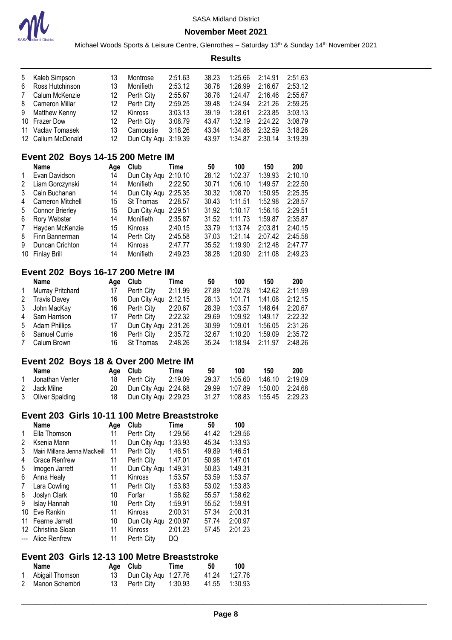

÷

#### **November Meet 2021**

mday 14<sup>th</sup> November 2021

|    |                                              |     | Michael Woods Sports & Leisure Centre, Glenrothes - Saturday 13 <sup>th</sup> & Sunda |             |                |         |         |         |
|----|----------------------------------------------|-----|---------------------------------------------------------------------------------------|-------------|----------------|---------|---------|---------|
|    |                                              |     |                                                                                       |             | <b>Results</b> |         |         |         |
| 5  | Kaleb Simpson                                | 13  | Montrose                                                                              | 2:51.63     | 38.23          | 1:25.66 | 2:14.91 | 2:51.63 |
| 6  | Ross Hutchinson                              | 13  | Monifieth                                                                             | 2:53.12     | 38.78          | 1:26.99 | 2:16.67 | 2:53.12 |
| 7  | Calum McKenzie                               | 12  | Perth City                                                                            | 2:55.67     | 38.76          | 1:24.47 | 2:16.46 | 2:55.67 |
| 8  | Cameron Millar                               | 12  | Perth City                                                                            | 2:59.25     | 39.48          | 1:24.94 | 2:21.26 | 2:59.25 |
| 9  | <b>Matthew Kenny</b>                         | 12  | Kinross                                                                               | 3:03.13     | 39.19          | 1:28.61 | 2:23.85 | 3:03.13 |
| 10 | <b>Frazer Dow</b>                            | 12  | Perth City                                                                            | 3:08.79     | 43.47          | 1:32.19 | 2:24.22 | 3:08.79 |
| 11 | Vaclav Tomasek                               | 13  | Carnoustie                                                                            | 3:18.26     | 43.34          | 1:34.86 | 2:32.59 | 3:18.26 |
| 12 | Callum McDonald                              | 12  | Dun City Aqu                                                                          | 3:19.39     | 43.97          | 1:34.87 | 2:30.14 | 3:19.39 |
|    | <b>Event 202 Boys 14-15 200 Metre IM</b>     |     |                                                                                       |             |                |         |         |         |
|    | Name                                         | Age | Club                                                                                  | Time        | 50             | 100     | 150     | 200     |
| 1  | Evan Davidson                                | 14  | Dun City Aqu                                                                          | 2:10.10     | 28.12          | 1:02.37 | 1:39.93 | 2:10.10 |
| 2  | Liam Gorczynski                              | 14  | Monifieth                                                                             | 2:22.50     | 30.71          | 1:06.10 | 1:49.57 | 2:22.50 |
| 3  | Cain Buchanan                                | 14  | Dun City Aqu 2:25.35                                                                  |             | 30.32          | 1:08.70 | 1:50.95 | 2:25.35 |
| 4  | Cameron Mitchell                             | 15  | St Thomas                                                                             | 2:28.57     | 30.43          | 1:11.51 | 1:52.98 | 2:28.57 |
| 5  | <b>Connor Brierley</b>                       | 15  | Dun City Aqu 2:29.51                                                                  |             | 31.92          | 1:10.17 | 1:56.16 | 2:29.51 |
| 6  | Rory Webster                                 | 14  | Monifieth                                                                             | 2:35.87     | 31.52          | 1:11.73 | 1:59.87 | 2:35.87 |
| 7  | Hayden McKenzie                              | 15  | Kinross                                                                               | 2:40.15     | 33.79          | 1:13.74 | 2:03.81 | 2:40.15 |
| 8  | Finn Bannerman                               | 14  | Perth City                                                                            | 2:45.58     | 37.03          | 1:21.14 | 2:07.42 | 2:45.58 |
| 9  | Duncan Crichton                              | 14  | Kinross                                                                               | 2:47.77     | 35.52          | 1:19.90 | 2:12.48 | 2:47.77 |
| 10 | <b>Finlay Brill</b>                          | 14  | Monifieth                                                                             | 2:49.23     | 38.28          | 1:20.90 | 2:11.08 | 2:49.23 |
|    | <b>Event 202 Boys 16-17 200 Metre IM</b>     |     |                                                                                       |             |                |         |         |         |
|    | Name                                         | Age | Club                                                                                  | <b>Time</b> | 50             | 100     | 150     | 200     |
| 1  | Murray Pritchard                             | 17  | Perth City                                                                            | 2:11.99     | 27.89          | 1:02.78 | 1:42.62 | 2:11.99 |
| 2  | <b>Travis Davey</b>                          | 16  | Dun City Aqu                                                                          | 2:12.15     | 28.13          | 1:01.71 | 1:41.08 | 2:12.15 |
| 3  | John MacKay                                  | 16  | Perth City                                                                            | 2:20.67     | 28.39          | 1:03.57 | 1:48.64 | 2:20.67 |
| 4  | Sam Harrison                                 | 17  | Perth City                                                                            | 2:22.32     | 29.69          | 1:09.92 | 1:49.17 | 2:22.32 |
| 5  | <b>Adam Phillips</b>                         | 17  | Dun City Aqu 2:31.26                                                                  |             | 30.99          | 1:09.01 | 1:56.05 | 2:31.26 |
| 6  | Samuel Currie                                | 16  | Perth City                                                                            | 2:35.72     | 32.67          | 1:10.20 | 1:59.09 | 2:35.72 |
| 7  | Calum Brown                                  | 16  | St Thomas                                                                             | 2:48.26     | 35.24          | 1:18.94 | 2:11.97 | 2:48.26 |
|    | Event 202 Boys 18 & Over 200 Metre IM        |     |                                                                                       |             |                |         |         |         |
|    | Name                                         | Age | Club                                                                                  | <b>Time</b> | 50             | 100     | 150     | 200     |
| 1  | Jonathan Venter                              | 18  | Perth City                                                                            | 2:19.09     | 29.37          | 1:05.60 | 1:46.10 | 2:19.09 |
| 2  | Jack Milne                                   | 20  | Dun City Aqu 2:24.68                                                                  |             | 29.99          | 1:07.89 | 1:50.00 | 2:24.68 |
| 3  | <b>Oliver Spalding</b>                       | 18  | Dun City Aqu 2:29.23                                                                  |             | 31.27          | 1:08.83 | 1:55.45 | 2:29.23 |
|    | Event 203 Girls 10-11 100 Metre Breaststroke |     |                                                                                       |             |                |         |         |         |
|    | <b>Name</b>                                  | Age | Club                                                                                  | <b>Time</b> | 50             | 100     |         |         |
| 1  | Ella Thomson                                 | 11  | Perth City                                                                            | 1:29.56     | 41.42          | 1:29.56 |         |         |
| 2  | Ksenia Mann                                  | 11  | Dun City Aqu 1:33.93                                                                  |             | 45.34          | 1:33.93 |         |         |
| 3  | Mairi Millana Jenna MacNeill                 | 11  | Perth City                                                                            | 1:46.51     | 49.89          | 1:46.51 |         |         |
| 4  | <b>Grace Renfrew</b>                         | 11  | Perth City                                                                            | 1:47.01     | 50.98          | 1:47.01 |         |         |
| 5  | Imogen Jarrett                               | 11  | Dun City Aqu 1:49.31                                                                  |             | 50.83          | 1:49.31 |         |         |
| 6  | Anna Healy                                   | 11  | Kinross                                                                               | 1:53.57     | 53.59          | 1:53.57 |         |         |
| 7  | Lara Cowling                                 | 11  | Perth City                                                                            | 1:53.83     | 53.02          | 1:53.83 |         |         |
| 8  | Joslyn Clark                                 | 10  | Forfar                                                                                | 1:58.62     | 55.57          | 1:58.62 |         |         |
| 9  | Islay Hannah                                 | 10  | Perth City                                                                            | 1:59.91     | 55.52          | 1:59.91 |         |         |
|    | 10 Eve Rankin                                | 11  | Kinross                                                                               | 2:00.31     | 57.34          | 2:00.31 |         |         |
|    | 11 Fearne Jarrett                            | 10  | Dun City Aqu 2:00.97                                                                  |             | 57.74          | 2:00.97 |         |         |
|    | 12 Christina Sloan                           | 11  | Kinross                                                                               | 2:01.23     | 57.45          | 2:01.23 |         |         |
|    | --- Alice Renfrew                            | 11  | Perth City                                                                            | DQ          |                |         |         |         |
|    | Event 203 Girls 12-13 100 Metre Breaststroke |     |                                                                                       |             |                |         |         |         |

**Name Age Club Time 50 100** 1 Abigail Thomson 13 Dun City Aqu 1:27.76 41.24 1:27.76<br>2 Manon Schembri 13 Perth City 1:30.93 41.55 1:30.93 Manon Schembri 13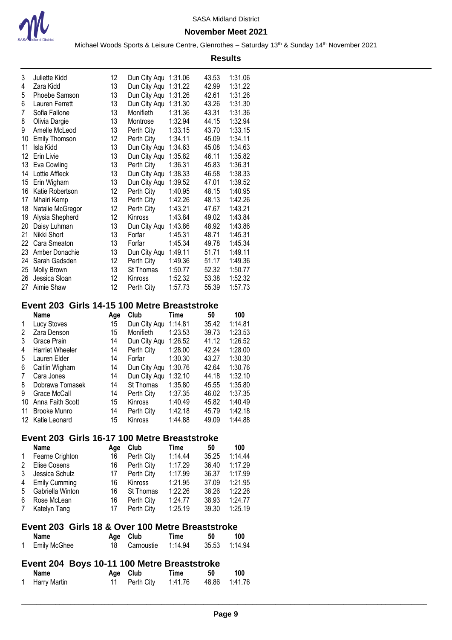

|        | <b>Results</b>                                   |                |                          |                    |                |                    |  |  |  |  |
|--------|--------------------------------------------------|----------------|--------------------------|--------------------|----------------|--------------------|--|--|--|--|
| 3      | Juliette Kidd                                    | 12             | Dun City Aqu 1:31.06     |                    | 43.53          | 1:31.06            |  |  |  |  |
| 4      | Zara Kidd                                        | 13             | Dun City Aqu 1:31.22     |                    | 42.99          | 1:31.22            |  |  |  |  |
| 5      | Phoebe Samson                                    | 13             | Dun City Aqu 1:31.26     |                    | 42.61          | 1:31.26            |  |  |  |  |
| 6      | Lauren Ferrett                                   | 13             | Dun City Aqu 1:31.30     |                    | 43.26          | 1:31.30            |  |  |  |  |
| 7      | Sofia Fallone                                    | 13             | Monifieth                | 1:31.36            | 43.31          | 1:31.36            |  |  |  |  |
| 8      | Olivia Dargie                                    | 13             | Montrose                 | 1:32.94            | 44.15          | 1:32.94            |  |  |  |  |
| 9      | Amelle McLeod                                    | 13             | Perth City               | 1:33.15            | 43.70          | 1:33.15            |  |  |  |  |
| 10     | <b>Emily Thomson</b>                             | 12             | Perth City               | 1:34.11            | 45.09          | 1:34.11            |  |  |  |  |
| 11     | Isla Kidd                                        | 13             | Dun City Aqu 1:34.63     |                    | 45.08          | 1:34.63            |  |  |  |  |
|        | 12 Erin Livie                                    | 13             | Dun City Aqu 1:35.82     |                    | 46.11          | 1:35.82            |  |  |  |  |
| 13     | Eva Cowling                                      | 13             | Perth City               | 1:36.31            | 45.83          | 1:36.31            |  |  |  |  |
|        | 14 Lottie Affleck                                | 13             | Dun City Aqu 1:38.33     |                    | 46.58          | 1:38.33            |  |  |  |  |
|        | 15 Erin Wigham                                   | 13             | Dun City Aqu 1:39.52     |                    | 47.01          | 1:39.52            |  |  |  |  |
| 16     | Katie Robertson                                  | 12             | Perth City               | 1:40.95            | 48.15          | 1:40.95            |  |  |  |  |
| 17     | Mhairi Kemp                                      | 13             | Perth City               | 1:42.26            | 48.13          | 1:42.26            |  |  |  |  |
|        | 18 Natalie McGregor                              | 12             | Perth City               | 1:43.21            | 47.67          | 1:43.21            |  |  |  |  |
| 19     | Alysia Shepherd                                  | 12             | Kinross                  | 1:43.84            | 49.02          | 1:43.84            |  |  |  |  |
|        | 20 Daisy Luhman                                  | 13             | Dun City Aqu 1:43.86     |                    | 48.92          | 1:43.86            |  |  |  |  |
| 21     | Nikki Short                                      | 13             | Forfar                   | 1:45.31            | 48.71          | 1:45.31            |  |  |  |  |
|        | 22 Cara Smeaton                                  | 13             | Forfar                   | 1:45.34            | 49.78          | 1:45.34            |  |  |  |  |
|        | 23 Amber Donachie                                | 13             | Dun City Aqu 1:49.11     |                    | 51.71          | 1:49.11            |  |  |  |  |
| 24     | Sarah Gadsden                                    | 12             | Perth City               | 1:49.36            | 51.17          | 1:49.36            |  |  |  |  |
| 25     | <b>Molly Brown</b>                               | 13             | St Thomas                | 1:50.77            | 52.32          | 1:50.77            |  |  |  |  |
| 26     | Jessica Sloan                                    | 12             | Kinross                  | 1:52.32            | 53.38          | 1:52.32            |  |  |  |  |
| 27     | Aimie Shaw                                       | 12             | Perth City               | 1:57.73            | 55.39          | 1:57.73            |  |  |  |  |
|        |                                                  |                |                          |                    |                |                    |  |  |  |  |
|        | Event 203 Girls 14-15 100 Metre Breaststroke     |                |                          |                    |                |                    |  |  |  |  |
|        | <b>Name</b>                                      | Age            | Club                     | Time               | 50             | 100                |  |  |  |  |
| 1      | Lucy Stoves                                      | 15             | Dun City Aqu 1:14.81     |                    | 35.42          | 1:14.81            |  |  |  |  |
| 2      | Zara Denson                                      | 15             | Monifieth                | 1:23.53            | 39.73          | 1:23.53            |  |  |  |  |
| 3      | Grace Prain                                      | 14             | Dun City Aqu 1:26.52     |                    | 41.12          | 1:26.52            |  |  |  |  |
| 4      | <b>Harriet Wheeler</b>                           | 14             | Perth City               | 1:28.00            | 42.24          | 1:28.00            |  |  |  |  |
| 5      | Lauren Elder                                     | 14             | Forfar                   | 1:30.30            | 43.27          | 1:30.30            |  |  |  |  |
| 6      | Caitlin Wigham                                   | 14             | Dun City Aqu 1:30.76     |                    | 42.64          | 1:30.76            |  |  |  |  |
| 7      | Cara Jones                                       | 14             | Dun City Aqu 1:32.10     |                    | 44.18          | 1:32.10            |  |  |  |  |
| 8      | Dobrawa Tomasek                                  | 14             | St Thomas                | 1:35.80            | 45.55          | 1:35.80            |  |  |  |  |
| 9      | Grace McCall                                     | 14             | Perth City               | 1:37.35            | 46.02          | 1:37.35            |  |  |  |  |
|        | 10 Anna Faith Scott                              | 15             | Kinross                  | 1:40.49            | 45.82          | 1:40.49            |  |  |  |  |
| 11     | <b>Brooke Munro</b>                              | 14             | Perth City               | 1:42.18            | 45.79          | 1:42.18            |  |  |  |  |
|        | 12 Katie Leonard                                 | 15             | Kinross                  | 1:44.88            | 49.09          | 1:44.88            |  |  |  |  |
|        | Event 203 Girls 16-17 100 Metre Breaststroke     |                |                          |                    |                |                    |  |  |  |  |
|        | Name                                             | Age            | Club                     | Time               | 50             | 100                |  |  |  |  |
| 1      | Fearne Crighton                                  | 16             | Perth City               | 1:14.44            | 35.25          | 1:14.44            |  |  |  |  |
| 2      | Elise Cosens                                     | 16             | Perth City               | 1:17.29            | 36.40          | 1:17.29            |  |  |  |  |
| 3      | Jessica Schulz                                   |                |                          |                    | 36.37          | 1:17.99            |  |  |  |  |
|        |                                                  | 17<br>16       | Perth City<br>Kinross    | 1:17.99            | 37.09          |                    |  |  |  |  |
| 4      | <b>Emily Cumming</b>                             |                | St Thomas                | 1:21.95<br>1:22.26 | 38.26          | 1:21.95            |  |  |  |  |
| 5      | Gabriella Winton<br>Rose McLean                  | 16<br>16       |                          |                    |                | 1:22.26            |  |  |  |  |
| 6<br>7 | Katelyn Tang                                     | 17             | Perth City<br>Perth City | 1:24.77<br>1:25.19 | 38.93<br>39.30 | 1:24.77<br>1:25.19 |  |  |  |  |
|        |                                                  |                |                          |                    |                |                    |  |  |  |  |
|        | Event 203 Girls 18 & Over 100 Metre Breaststroke |                |                          |                    |                |                    |  |  |  |  |
|        | Name                                             |                | Age Club                 | Time               | 50             | 100                |  |  |  |  |
| 1      | <b>Emily McGhee</b>                              | 18             | Carnoustie               | 1:14.94            | 35.53          | 1:14.94            |  |  |  |  |
|        |                                                  |                |                          |                    |                |                    |  |  |  |  |
|        | Event 204 Boys 10-11 100 Metre Breaststroke      |                |                          | <b>Time</b>        | 50             | 100                |  |  |  |  |
|        |                                                  |                |                          |                    |                |                    |  |  |  |  |
| 1      | Name<br>Harry Martin                             | Age Club<br>11 | Perth City               | 1:41.76            | 48.86          | 1:41.76            |  |  |  |  |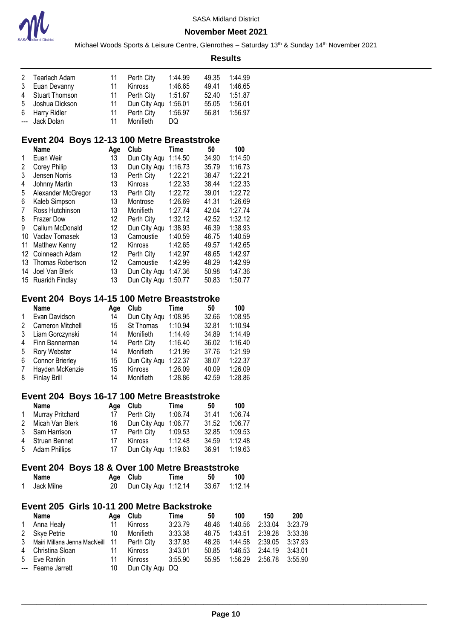

Michael Woods Sports & Leisure Centre, Glenrothes - Saturday 13<sup>th</sup> & Sunday 14<sup>th</sup> November 2021

#### **Results**

| 2 Tearlach Adam  | 11    | Perth City           | 1:44.99 | 49.35 | 1:44.99 |
|------------------|-------|----------------------|---------|-------|---------|
| 3 Euan Devanny   | 11    | Kinross              | 1:46.65 | 49.41 | 1:46.65 |
| 4 Stuart Thomson | $-11$ | Perth City           | 1:51.87 | 52.40 | 1:51.87 |
| 5 Joshua Dickson | 11    | Dun City Aqu 1:56.01 |         | 55.05 | 1:56.01 |
| 6 Harry Ridler   | 11    | Perth City           | 1:56.97 | 56.81 | 1:56.97 |
| --- Jack Dolan   | 11    | Monifieth            | DQ      |       |         |

# **Event 204 Boys 12-13 100 Metre Breaststroke**

|    | Name               | Age | Club         | Time    | 50    | 100     |
|----|--------------------|-----|--------------|---------|-------|---------|
| 1  | Euan Weir          | 13  | Dun City Aqu | 1:14.50 | 34.90 | 1:14.50 |
| 2  | Corey Philip       | 13  | Dun City Aqu | 1:16.73 | 35.79 | 1:16.73 |
| 3  | Jensen Norris      | 13  | Perth City   | 1:22.21 | 38.47 | 1:22.21 |
| 4  | Johnny Martin      | 13  | Kinross      | 1:22.33 | 38.44 | 1:22.33 |
| 5  | Alexander McGregor | 13  | Perth City   | 1:22.72 | 39.01 | 1:22.72 |
| 6  | Kaleb Simpson      | 13  | Montrose     | 1:26.69 | 41.31 | 1:26.69 |
| 7  | Ross Hutchinson    | 13  | Monifieth    | 1:27.74 | 42.04 | 1:27.74 |
| 8  | <b>Frazer Dow</b>  | 12  | Perth City   | 1:32.12 | 42.52 | 1:32.12 |
| 9  | Callum McDonald    | 12  | Dun City Aqu | 1:38.93 | 46.39 | 1:38.93 |
| 10 | Vaclav Tomasek     | 13  | Carnoustie   | 1:40.59 | 46.75 | 1:40.59 |
| 11 | Matthew Kenny      | 12  | Kinross      | 1:42.65 | 49.57 | 1:42.65 |
| 12 | Coinneach Adam     | 12  | Perth City   | 1:42.97 | 48.65 | 1:42.97 |
| 13 | Thomas Robertson   | 12  | Carnoustie   | 1:42.99 | 48.29 | 1:42.99 |
| 14 | Joel Van Blerk     | 13  | Dun City Aqu | 1:47.36 | 50.98 | 1:47.36 |
| 15 | Ruaridh Findlay    | 13  | Dun City Agu | 1:50.77 | 50.83 | 1:50.77 |

# **Event 204 Boys 14-15 100 Metre Breaststroke**

|              | <b>Name</b>         | Age | Club         | Time    | 50    | 100     |
|--------------|---------------------|-----|--------------|---------|-------|---------|
| $\mathbf{1}$ | Evan Davidson       | 14  | Dun City Aqu | 1:08.95 | 32.66 | 1:08.95 |
| 2            | Cameron Mitchell    | 15  | St Thomas    | 1:10.94 | 32.81 | 1:10.94 |
| 3            | Liam Gorczynski     | 14  | Monifieth    | 1:14.49 | 34.89 | 1:14.49 |
| 4            | Finn Bannerman      | 14  | Perth City   | 1:16.40 | 36.02 | 1:16.40 |
| 5            | Rory Webster        | 14  | Monifieth    | 1:21.99 | 37.76 | 1:21.99 |
| 6            | Connor Brierley     | 15  | Dun City Aqu | 1:22.37 | 38.07 | 1:22.37 |
| 7            | Hayden McKenzie     | 15  | Kinross      | 1:26.09 | 40.09 | 1:26.09 |
| 8            | <b>Finlay Brill</b> | 14  | Monifieth    | 1:28.86 | 42.59 | 1:28.86 |

# **Event 204 Boys 16-17 100 Metre Breaststroke**

| Name               | Aae  | <b>Club</b>            | Time    | 50    | 100     |
|--------------------|------|------------------------|---------|-------|---------|
| 1 Murray Pritchard |      | 17 Perth City  1:06.74 |         | 31.41 | 1:06.74 |
| 2 Micah Van Blerk  | 16 - | Dun City Agu 1:06.77   |         | 31.52 | 1:06.77 |
| 3 Sam Harrison     | 17   | Perth Citv             | 1:09.53 | 32.85 | 1:09.53 |
| 4 Struan Bennet    | 17   | Kinross                | 1:12.48 | 34.59 | 1:12.48 |
| 5 Adam Phillips    | 17   | Dun City Aqu 1:19.63   |         | 36.91 | 1:19.63 |

### **Event 204 Boys 18 & Over 100 Metre Breaststroke**

| Name       | Age Club             | Time | 50 | 100           |
|------------|----------------------|------|----|---------------|
| Jack Milne | Dun City Aqu 1:12.14 |      |    | 33.67 1:12.14 |

### **Event 205 Girls 10-11 200 Metre Backstroke**

|              | <b>Name</b>                                  | Age | Club            | Time    | 50    | 100             | 150     | 200     |
|--------------|----------------------------------------------|-----|-----------------|---------|-------|-----------------|---------|---------|
| $\mathbf{1}$ | Anna Healy                                   | 11  | Kinross         | 3:23.79 | 48.46 | 1:40.56         | 2:33.04 | 3:23.79 |
|              | 2 Skye Petrie                                | 10  | Monifieth       | 3:33.38 | 48.75 | 1:43.51 2:39.28 |         | 3:33.38 |
|              | 3 Mairi Millana Jenna MacNeill 11 Perth City |     |                 | 3:37.93 | 48.26 | 1:44.58 2:39.05 |         | 3:37.93 |
|              | 4 Christina Sloan                            | 11  | Kinross         | 3:43.01 | 50.85 | 1:46.53 2:44.19 |         | 3:43.01 |
|              | 5 Eve Rankin                                 | 11  | Kinross         | 3:55.90 | 55.95 | 1:56.29 2:56.78 |         | 3:55.90 |
|              | --- Fearne Jarrett                           | 10  | Dun City Aqu DQ |         |       |                 |         |         |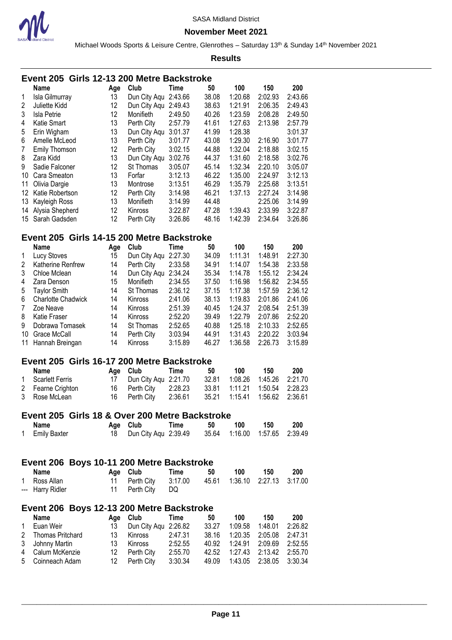

**November Meet 2021**

Michael Woods Sports & Leisure Centre, Glenrothes - Saturday 13<sup>th</sup> & Sunday 14<sup>th</sup> November 2021

#### **Results**

| Event 205 Girls 12-13 200 Metre Backstroke |  |  |
|--------------------------------------------|--|--|
|--------------------------------------------|--|--|

|                | <b>Name</b>      | Age | Club         | <b>Time</b> | 50    | 100     | 150     | 200     |
|----------------|------------------|-----|--------------|-------------|-------|---------|---------|---------|
| 1              | Isla Gilmurray   | 13  | Dun City Agu | 2:43.66     | 38.08 | 1:20.68 | 2:02.93 | 2:43.66 |
| $\overline{2}$ | Juliette Kidd    | 12  | Dun City Aqu | 2:49.43     | 38.63 | 1:21.91 | 2:06.35 | 2:49.43 |
| 3              | Isla Petrie      | 12  | Monifieth    | 2:49.50     | 40.26 | 1:23.59 | 2:08.28 | 2:49.50 |
| 4              | Katie Smart      | 13  | Perth City   | 2:57.79     | 41.61 | 1:27.63 | 2:13.98 | 2:57.79 |
| 5              | Erin Wigham      | 13  | Dun City Aqu | 3:01.37     | 41.99 | 1:28.38 |         | 3:01.37 |
| 6              | Amelle McLeod    | 13  | Perth City   | 3:01.77     | 43.08 | 1:29.30 | 2:16.90 | 3:01.77 |
| $\overline{7}$ | Emily Thomson    | 12  | Perth City   | 3:02.15     | 44.88 | 1:32.04 | 2:18.88 | 3:02.15 |
| 8              | Zara Kidd        | 13  | Dun City Aqu | 3:02.76     | 44.37 | 1:31.60 | 2:18.58 | 3:02.76 |
| 9              | Sadie Falconer   | 12  | St Thomas    | 3:05.07     | 45.14 | 1:32.34 | 2:20.10 | 3:05.07 |
| 10             | Cara Smeaton     | 13  | Forfar       | 3:12.13     | 46.22 | 1:35.00 | 2:24.97 | 3:12.13 |
| 11             | Olivia Dargie    | 13  | Montrose     | 3:13.51     | 46.29 | 1:35.79 | 2:25.68 | 3:13.51 |
| 12             | Katie Robertson  | 12  | Perth City   | 3:14.98     | 46.21 | 1:37.13 | 2:27.24 | 3:14.98 |
| 13             | Kayleigh Ross    | 13  | Monifieth    | 3:14.99     | 44.48 |         | 2:25.06 | 3:14.99 |
| 14             | Alysia Shepherd  | 12  | Kinross      | 3:22.87     | 47.28 | 1:39.43 | 2:33.99 | 3:22.87 |
|                | 15 Sarah Gadsden | 12  | Perth City   | 3:26.86     | 48.16 | 1:42.39 | 2:34.64 | 3:26.86 |

# **Event 205 Girls 14-15 200 Metre Backstroke**

|    | <b>Name</b>               | Aqe | Club           | Time    | 50    | 100     | 150     | 200     |
|----|---------------------------|-----|----------------|---------|-------|---------|---------|---------|
|    | Lucy Stoves               | 15  | Dun City Aqu   | 2:27.30 | 34.09 | 1:11.31 | 1:48.91 | 2:27.30 |
| 2  | Katherine Renfrew         | 14  | Perth City     | 2:33.58 | 34.91 | 1:14.07 | 1:54.38 | 2:33.58 |
| 3  | Chloe Mclean              | 14  | Dun City Aqu   | 2:34.24 | 35.34 | 1:14.78 | 1:55.12 | 2:34.24 |
| 4  | Zara Denson               | 15  | Monifieth      | 2:34.55 | 37.50 | 1:16.98 | 1:56.82 | 2:34.55 |
| 5  | Taylor Smith              | 14  | St Thomas      | 2:36.12 | 37.15 | 1:17.38 | 1:57.59 | 2:36.12 |
| 6  | <b>Charlotte Chadwick</b> | 14  | <b>Kinross</b> | 2:41.06 | 38.13 | 1:19.83 | 2:01.86 | 2:41.06 |
| 7  | Zoe Neave                 | 14  | <b>Kinross</b> | 2:51.39 | 40.45 | 1:24.37 | 2:08.54 | 2:51.39 |
| 8  | Katie Fraser              | 14  | Kinross        | 2:52.20 | 39.49 | 1:22.79 | 2:07.86 | 2:52.20 |
| 9  | Dobrawa Tomasek           | 14  | St Thomas      | 2:52.65 | 40.88 | 1:25.18 | 2:10.33 | 2:52.65 |
| 10 | Grace McCall              | 14  | Perth City     | 3:03.94 | 44.91 | 1:31.43 | 2:20.22 | 3:03.94 |
|    | 11 Hannah Breingan        | 14  | Kinross        | 3:15.89 | 46.27 | 1:36.58 | 2:26.73 | 3:15.89 |

#### **Event 205 Girls 16-17 200 Metre Backstroke**

| Name              | Age Club Time           | 50 | 100 | 150 | 200 |
|-------------------|-------------------------|----|-----|-----|-----|
| 1 Scarlett Ferris | 17 Dun City Agu 2:21.70 |    |     |     |     |
| 2 Fearne Crighton | 16 Perth City 2:28.23   |    |     |     |     |
| 3 Rose McLean     | 16 Perth City 2:36.61   |    |     |     |     |

# **Event 205 Girls 18 & Over 200 Metre Backstroke**

| Name           | Age Club                                              | Time | 50 | 100 150 | 200 |
|----------------|-------------------------------------------------------|------|----|---------|-----|
| 1 Emily Baxter | 18 Dun City Aqu 2:39.49 35.64 1:16.00 1:57.65 2:39.49 |      |    |         |     |

# **Event 206 Boys 10-11 200 Metre Backstroke**

| Name             | Age Club                                            | Time | 50 | 100 150 | - 200 |
|------------------|-----------------------------------------------------|------|----|---------|-------|
| 1 Ross Allan     | 11 Perth City 3:17.00 45.61 1:36.10 2:27.13 3:17.00 |      |    |         |       |
| --- Harry Ridler | 11 Perth City DQ                                    |      |    |         |       |

### **Event 206 Boys 12-13 200 Metre Backstroke**

|              | Name               |     | Age Club             | Time    | 50    | 100             | 150                     | 200     |
|--------------|--------------------|-----|----------------------|---------|-------|-----------------|-------------------------|---------|
| $\mathbf{1}$ | Euan Weir          |     | Dun City Agu 2:26.82 |         | 33.27 |                 | 1:09.58  1:48.01        | 2:26.82 |
|              | 2 Thomas Pritchard | 13  | Kinross              | 2:47.31 | 38.16 |                 | 1:20.35 2:05.08 2:47.31 |         |
|              | 3 Johnny Martin    | 13  | Kinross              | 2:52.55 | 40.92 | 1:24.91 2:09.69 |                         | 2:52.55 |
|              | 4 Calum McKenzie   | 12. | Perth Citv           | 2:55.70 | 42.52 |                 | 1:27.43 2:13.42 2:55.70 |         |
|              | 5 Coinneach Adam   | 12. | Perth City           | 3:30.34 | 49.09 |                 | 1:43.05 2:38.05 3:30.34 |         |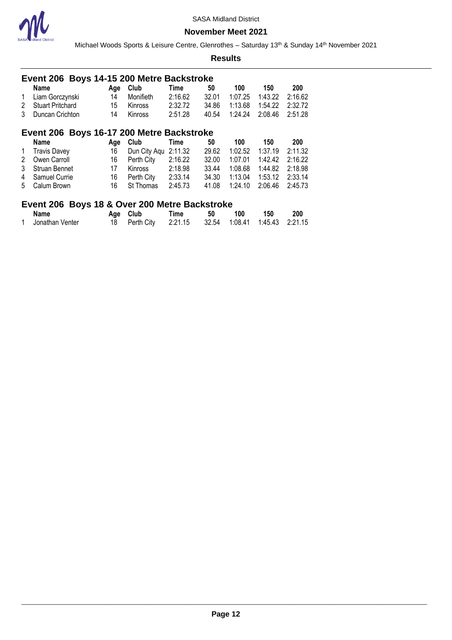

Michael Woods Sports & Leisure Centre, Glenrothes - Saturday 13<sup>th</sup> & Sunday 14<sup>th</sup> November 2021

#### **Results**

|   | Event 206 Boys 14-15 200 Metre Backstroke                |     |              |         |       |         |         |         |  |  |  |  |
|---|----------------------------------------------------------|-----|--------------|---------|-------|---------|---------|---------|--|--|--|--|
|   | <b>Name</b>                                              | Age | Club         | Time    | 50    | 100     | 150     | 200     |  |  |  |  |
| 1 | Liam Gorczynski                                          | 14  | Monifieth    | 2:16.62 | 32.01 | 1:07.25 | 1:43.22 | 2:16.62 |  |  |  |  |
| 2 | <b>Stuart Pritchard</b>                                  | 15  | Kinross      | 2:32.72 | 34.86 | 1:13.68 | 1:54.22 | 2:32.72 |  |  |  |  |
| 3 | Duncan Crichton                                          | 14  | Kinross      | 2:51.28 | 40.54 | 1:24.24 | 2:08.46 | 2:51.28 |  |  |  |  |
|   | Event 206 Boys 16-17 200 Metre Backstroke                |     |              |         |       |         |         |         |  |  |  |  |
|   | <b>Name</b>                                              | Age | Club         | Time    | 50    | 100     | 150     | 200     |  |  |  |  |
| 1 | <b>Travis Davey</b>                                      | 16  | Dun City Aqu | 2:11.32 | 29.62 | 1:02.52 | 1:37.19 | 2:11.32 |  |  |  |  |
| 2 | Owen Carroll                                             | 16  | Perth City   | 2:16.22 | 32.00 | 1:07.01 | 1:42.42 | 2:16.22 |  |  |  |  |
| 3 | Struan Bennet                                            | 17  | Kinross      | 2:18.98 | 33.44 | 1:08.68 | 1:44.82 | 2:18.98 |  |  |  |  |
| 4 | Samuel Currie                                            | 16  | Perth City   | 2:33.14 | 34.30 | 1:13.04 | 1:53.12 | 2:33.14 |  |  |  |  |
| 5 | Calum Brown                                              | 16  | St Thomas    | 2:45.73 | 41.08 | 1:24.10 | 2:06.46 | 2:45.73 |  |  |  |  |
|   | Dessa 40.0 Ossax 000 Matra Daalsatralsa<br>F. <b>OOO</b> |     |              |         |       |         |         |         |  |  |  |  |

### **Event 206 Boys 18 & Over 200 Metre Backstroke**

| <b>Name</b>     | Age Club | Time                                                | 50 | 100 | 150 | 200 |
|-----------------|----------|-----------------------------------------------------|----|-----|-----|-----|
| Jonathan Venter |          | 18 Perth City 2:21.15 32.54 1:08.41 1:45.43 2:21.15 |    |     |     |     |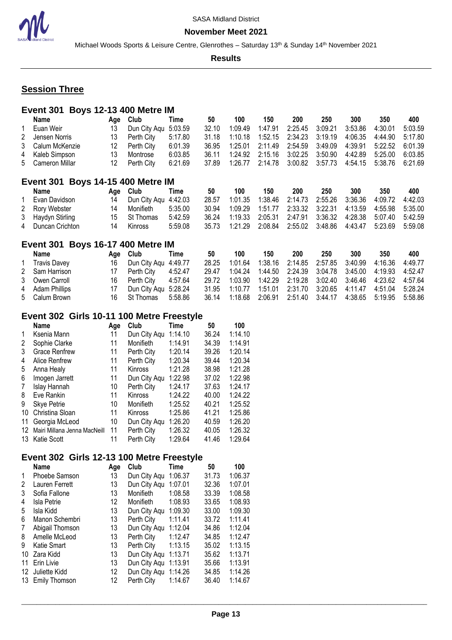Michael Woods Sports & Leisure Centre, Glenrothes - Saturday 13<sup>th</sup> & Sunday 14<sup>th</sup> November 2021

**Results**

# **Session Three**

| Event 301 Boys 12-13 400 Metre IM |     |                      |         |       |         |                                    |                           |         |         |                 |         |
|-----------------------------------|-----|----------------------|---------|-------|---------|------------------------------------|---------------------------|---------|---------|-----------------|---------|
| Name                              | Age | Club                 | Time    | 50    | 100     | 150                                | <b>200</b>                | 250     | 300     | 350             | 400     |
| 1 Euan Weir                       | 13  | Dun City Agu 5:03.59 |         | 32.10 | 1:09.49 | 1:47.91                            | 2:25.45                   | 3:09.21 | 3:53.86 | 4:30.01         | 5:03.59 |
| 2 Jensen Norris                   | 13  | Perth City           | 5:17.80 | 31.18 | 1:10.18 |                                    | 1:52.15  2:34.23          | 3:19.19 | 4:06.35 | 4:44.90         | 5:17.80 |
| 3 Calum McKenzie                  | 12  | Perth City           | 6:01.39 | 36.95 | 1:25.01 |                                    | 2:11.49  2:54.59  3:49.09 |         | 4:39.91 | 5:22.52         | 6:01.39 |
| 4 Kaleb Simpson                   | 13  | Montrose             | 6:03.85 | 36.11 | 1:24.92 | 2:15.16                            | 3:02.25 3:50.90           |         | 4:42.89 | 5:25.00         | 6:03.85 |
| 5 Cameron Millar                  | 12  | Perth City           | 6:21.69 | 37.89 |         | 1:26.77  2:14.78  3:00.82  3:57.73 |                           |         |         | 4:54.15 5:38.76 | 6:21.69 |
| Event 301 Boys 14-15 400 Metre IM |     |                      |         |       |         |                                    |                           |         |         |                 |         |
| Name                              |     | Age Club             | Time    | 50    | 100     | 150                                | 200                       | 250     | 300     | 350             | 400     |

| Evan Davidson     |    | Dun City Agu 4:42.03 |         | 28.57 |  |  | 1:01.35  1:38.46  2:14.73  2:55.26  3:36.36  4:09.72  4:42.03               |  |
|-------------------|----|----------------------|---------|-------|--|--|-----------------------------------------------------------------------------|--|
| 2 Rory Webster    | 14 | Monifieth            | 5:35.00 | 30.94 |  |  |                                                                             |  |
| 3 Haydyn Stirling |    | 15 St Thomas         | 5:42.59 |       |  |  | 36.24   1:19.33   2:05.31   2:47.91   3:36.32   4:28.38   5:07.40   5:42.59 |  |
| 4 Duncan Crichton | 14 | Kinross              | 5:59.08 |       |  |  | 35.73   1:21.29   2:08.84   2:55.02   3:48.86   4:43.47   5:23.69   5:59.08 |  |

### **Event 301 Boys 16-17 400 Metre IM**

| Name            | Age Club                | Time    | 50    | 100                                                                  | 150 | 200 | 250 | 300 | 350                                                           | 400 |
|-----------------|-------------------------|---------|-------|----------------------------------------------------------------------|-----|-----|-----|-----|---------------------------------------------------------------|-----|
| 1 Travis Davey  | 16 Dun City Agu 4:49.77 |         | 28.25 |                                                                      |     |     |     |     | 1:01.64  1:38.16  2:14.85  2:57.85  3:40.99  4:16.36  4:49.77 |     |
| 2 Sam Harrison  | 17 Perth City           | 4:52.47 |       | 29.47  1:04.24  1:44.50  2:24.39  3:04.78  3:45.00  4:19.93  4:52.47 |     |     |     |     |                                                               |     |
| 3 Owen Carroll  | 16 Perth City 4:57.64   |         |       | 29.72  1:03.90  1:42.29  2:19.28  3:02.40  3:46.46  4:23.62  4:57.64 |     |     |     |     |                                                               |     |
| 4 Adam Phillips | Dun City Agu 5:28.24    |         |       | 31.95 1:10.77 1:51.01 2:31.70 3:20.65 4:11.47 4:51.04 5:28.24        |     |     |     |     |                                                               |     |
| 5 Calum Brown   | 16 St Thomas 5:58.86    |         |       | 36.14  1:18.68  2:06.91  2:51.40  3:44.17  4:38.65  5:19.95  5:58.86 |     |     |     |     |                                                               |     |

# **Event 302 Girls 10-11 100 Metre Freestyle**

|    | <b>Name</b>                  | Age | Club           | Time    | 50    | 100     |
|----|------------------------------|-----|----------------|---------|-------|---------|
| 1  | Ksenia Mann                  | 11  | Dun City Aqu   | 1:14.10 | 36.24 | 1:14.10 |
| 2  | Sophie Clarke                | 11  | Monifieth      | 1:14.91 | 34.39 | 1:14.91 |
| 3  | <b>Grace Renfrew</b>         | 11  | Perth City     | 1:20.14 | 39.26 | 1:20.14 |
| 4  | Alice Renfrew                | 11  | Perth City     | 1:20.34 | 39.44 | 1:20.34 |
| 5  | Anna Healy                   | 11  | Kinross        | 1:21.28 | 38.98 | 1:21.28 |
| 6  | Imogen Jarrett               | 11  | Dun City Aqu   | 1:22.98 | 37.02 | 1:22.98 |
| 7  | Islay Hannah                 | 10  | Perth City     | 1:24.17 | 37.63 | 1:24.17 |
| 8  | Eve Rankin                   | 11  | <b>Kinross</b> | 1:24.22 | 40.00 | 1:24.22 |
| 9  | Skye Petrie                  | 10  | Monifieth      | 1:25.52 | 40.21 | 1:25.52 |
| 10 | Christina Sloan              | 11  | Kinross        | 1:25.86 | 41.21 | 1:25.86 |
| 11 | Georgia McLeod               | 10  | Dun City Aqu   | 1:26.20 | 40.59 | 1:26.20 |
| 12 | Mairi Millana Jenna MacNeill | 11  | Perth City     | 1:26.32 | 40.05 | 1:26.32 |
| 13 | Katie Scott                  | 11  | Perth City     | 1:29.64 | 41.46 | 1:29.64 |

### **Event 302 Girls 12-13 100 Metre Freestyle**

|    | <b>Name</b>      | Age | Club         | Time    | 50    | 100     |
|----|------------------|-----|--------------|---------|-------|---------|
| 1  | Phoebe Samson    | 13  | Dun City Aqu | 1:06.37 | 31.73 | 1:06.37 |
| 2  | Lauren Ferrett   | 13  | Dun City Agu | 1:07.01 | 32.36 | 1:07.01 |
| 3  | Sofia Fallone    | 13  | Monifieth    | 1:08.58 | 33.39 | 1:08.58 |
| 4  | Isla Petrie      | 12  | Monifieth    | 1:08.93 | 33.65 | 1:08.93 |
| 5  | Isla Kidd        | 13  | Dun City Aqu | 1:09.30 | 33.00 | 1:09.30 |
| 6  | Manon Schembri   | 13  | Perth City   | 1:11.41 | 33.72 | 1:11.41 |
| 7  | Abigail Thomson  | 13  | Dun City Aqu | 1:12.04 | 34.86 | 1:12.04 |
| 8  | Amelle McLeod    | 13  | Perth City   | 1:12.47 | 34.85 | 1:12.47 |
| 9  | Katie Smart      | 13  | Perth City   | 1:13.15 | 35.02 | 1:13.15 |
| 10 | Zara Kidd        | 13  | Dun City Aqu | 1:13.71 | 35.62 | 1:13.71 |
| 11 | Erin Livie       | 13  | Dun City Aqu | 1:13.91 | 35.66 | 1:13.91 |
| 12 | Juliette Kidd    | 12  | Dun City Aqu | 1:14.26 | 34.85 | 1:14.26 |
|    | 13 Emily Thomson | 12  | Perth City   | 1:14.67 | 36.40 | 1:14.67 |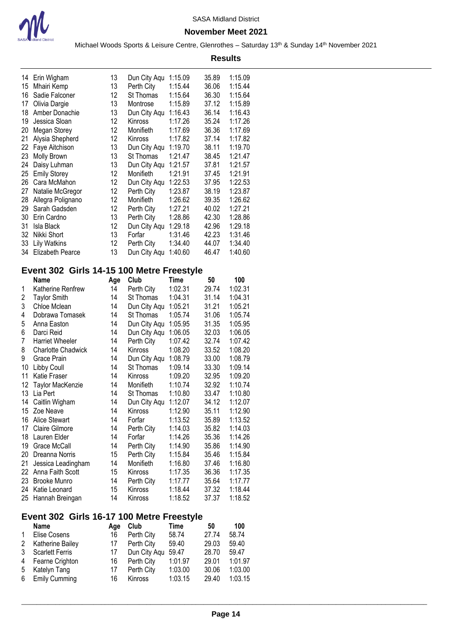

#### **November Meet 2021**

Michael Woods Sports & Leisure Centre, Glenrothes - Saturday 13<sup>th</sup> & Sunday 14<sup>th</sup> November 2021 **Results**

|     | 14 Erin Wigham      | 13 | Dun City Aqu | 1:15.09 | 35.89 | 1:15.09 |
|-----|---------------------|----|--------------|---------|-------|---------|
| 15  | Mhairi Kemp         | 13 | Perth City   | 1:15.44 | 36.06 | 1:15.44 |
| 16  | Sadie Falconer      | 12 | St Thomas    | 1:15.64 | 36.30 | 1:15.64 |
| 17  | Olivia Dargie       | 13 | Montrose     | 1:15.89 | 37.12 | 1:15.89 |
| 18  | Amber Donachie      | 13 | Dun City Aqu | 1:16.43 | 36.14 | 1:16.43 |
| 19  | Jessica Sloan       | 12 | Kinross      | 1:17.26 | 35.24 | 1:17.26 |
| 20  | Megan Storey        | 12 | Monifieth    | 1:17.69 | 36.36 | 1:17.69 |
| 21  | Alysia Shepherd     | 12 | Kinross      | 1:17.82 | 37.14 | 1:17.82 |
| 22  | Faye Aitchison      | 13 | Dun City Aqu | 1:19.70 | 38.11 | 1:19.70 |
| 23  | <b>Molly Brown</b>  | 13 | St Thomas    | 1:21.47 | 38.45 | 1:21.47 |
| 24  | Daisy Luhman        | 13 | Dun City Aqu | 1:21.57 | 37.81 | 1:21.57 |
| 25  | <b>Emily Storey</b> | 12 | Monifieth    | 1:21.91 | 37.45 | 1:21.91 |
| 26. | Cara McMahon        | 12 | Dun City Aqu | 1:22.53 | 37.95 | 1:22.53 |
| 27  | Natalie McGregor    | 12 | Perth City   | 1:23.87 | 38.19 | 1:23.87 |
| 28  | Allegra Polignano   | 12 | Monifieth    | 1:26.62 | 39.35 | 1:26.62 |
| 29  | Sarah Gadsden       | 12 | Perth City   | 1:27.21 | 40.02 | 1:27.21 |
| 30  | Erin Cardno         | 13 | Perth City   | 1:28.86 | 42.30 | 1:28.86 |
| 31  | Isla Black          | 12 | Dun City Aqu | 1:29.18 | 42.96 | 1:29.18 |
| 32  | Nikki Short         | 13 | Forfar       | 1:31.46 | 42.23 | 1:31.46 |
| 33  | Lily Watkins        | 12 | Perth City   | 1:34.40 | 44.07 | 1:34.40 |
|     | 34 Elizabeth Pearce | 13 | Dun City Aqu | 1:40.60 | 46.47 | 1:40.60 |
|     |                     |    |              |         |       |         |

# **Event 302 Girls 14-15 100 Metre Freestyle**

|    | Name                      | Age | Club         | Time    | 50    | 100     |
|----|---------------------------|-----|--------------|---------|-------|---------|
| 1  | Katherine Renfrew         | 14  | Perth City   | 1:02.31 | 29.74 | 1:02.31 |
| 2  | <b>Taylor Smith</b>       | 14  | St Thomas    | 1:04.31 | 31.14 | 1:04.31 |
| 3  | Chloe Mclean              | 14  | Dun City Aqu | 1:05.21 | 31.21 | 1:05.21 |
| 4  | Dobrawa Tomasek           | 14  | St Thomas    | 1:05.74 | 31.06 | 1:05.74 |
| 5  | Anna Easton               | 14  | Dun City Aqu | 1:05.95 | 31.35 | 1:05.95 |
| 6  | Darci Reid                | 14  | Dun City Aqu | 1:06.05 | 32.03 | 1:06.05 |
| 7  | <b>Harriet Wheeler</b>    | 14  | Perth City   | 1:07.42 | 32.74 | 1:07.42 |
| 8  | <b>Charlotte Chadwick</b> | 14  | Kinross      | 1:08.20 | 33.52 | 1:08.20 |
| 9  | Grace Prain               | 14  | Dun City Aqu | 1:08.79 | 33.00 | 1:08.79 |
| 10 | Libby Coull               | 14  | St Thomas    | 1:09.14 | 33.30 | 1:09.14 |
| 11 | Katie Fraser              | 14  | Kinross      | 1:09.20 | 32.95 | 1:09.20 |
| 12 | Taylor MacKenzie          | 14  | Monifieth    | 1:10.74 | 32.92 | 1:10.74 |
| 13 | Lia Pert                  | 14  | St Thomas    | 1:10.80 | 33.47 | 1:10.80 |
| 14 | Caitlin Wigham            | 14  | Dun City Aqu | 1:12.07 | 34.12 | 1:12.07 |
| 15 | Zoe Neave                 | 14  | Kinross      | 1:12.90 | 35.11 | 1:12.90 |
| 16 | <b>Alice Stewart</b>      | 14  | Forfar       | 1:13.52 | 35.89 | 1:13.52 |
| 17 | <b>Claire Gilmore</b>     | 14  | Perth City   | 1:14.03 | 35.82 | 1:14.03 |
| 18 | Lauren Elder              | 14  | Forfar       | 1:14.26 | 35.36 | 1:14.26 |
| 19 | Grace McCall              | 14  | Perth City   | 1:14.90 | 35.86 | 1:14.90 |
| 20 | Dreanna Norris            | 15  | Perth City   | 1:15.84 | 35.46 | 1:15.84 |
| 21 | Jessica Leadingham        | 14  | Monifieth    | 1:16.80 | 37.46 | 1:16.80 |
| 22 | Anna Faith Scott          | 15  | Kinross      | 1:17.35 | 36.36 | 1:17.35 |
| 23 | <b>Brooke Munro</b>       | 14  | Perth City   | 1:17.77 | 35.64 | 1:17.77 |
| 24 | Katie Leonard             | 15  | Kinross      | 1:18.44 | 37.32 | 1:18.44 |
| 25 | Hannah Breingan           | 14  | Kinross      | 1:18.52 | 37.37 | 1:18.52 |

# **Event 302 Girls 16-17 100 Metre Freestyle**

|   | <b>Name</b>            | Age | Club           | Time    | 50    | 100     |
|---|------------------------|-----|----------------|---------|-------|---------|
|   | Elise Cosens           | 16  | Perth City     | 58.74   | 27.74 | 58.74   |
| 2 | Katherine Bailey       | 17  | Perth City     | 59.40   | 29.03 | 59.40   |
| 3 | <b>Scarlett Ferris</b> | 17  | Dun City Agu   | 59.47   | 28.70 | 59.47   |
| 4 | Fearne Crighton        | 16  | Perth City     | 1:01.97 | 29.01 | 1:01.97 |
| 5 | Katelyn Tang           | 17  | Perth City     | 1:03.00 | 30.06 | 1:03.00 |
| 6 | <b>Emily Cumming</b>   | 16  | <b>Kinross</b> | 1:03.15 | 29.40 | 1:03.15 |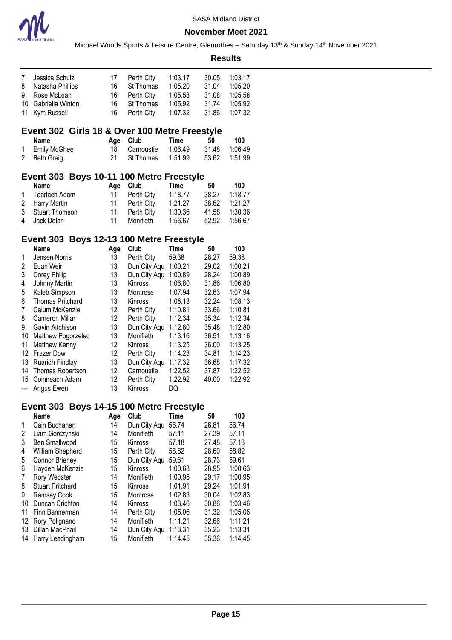

|                       |                                               |          |                           |                    |                | <b>Results</b>     |  |
|-----------------------|-----------------------------------------------|----------|---------------------------|--------------------|----------------|--------------------|--|
| 7                     | Jessica Schulz                                | 17       | Perth City                | 1:03.17            | 30.05          | 1:03.17            |  |
| 8                     | Natasha Phillips                              | 16       | St Thomas                 | 1:05.20            | 31.04          | 1:05.20            |  |
| 9                     | Rose McLean                                   | 16       | Perth City                | 1:05.58            | 31.08          | 1:05.58            |  |
| 10                    | Gabriella Winton                              | 16       | St Thomas                 | 1:05.92            | 31.74          | 1:05.92            |  |
| 11                    | Kym Russell                                   | 16       | Perth City                | 1:07.32            | 31.86          | 1:07.32            |  |
|                       | Event 302 Girls 18 & Over 100 Metre Freestyle |          |                           |                    |                |                    |  |
|                       | <b>Name</b>                                   | Age      | Club                      | <b>Time</b>        | 50             | 100                |  |
| 1                     | Emily McGhee                                  | 18       | Carnoustie                | 1:06.49            | 31.48          | 1:06.49            |  |
| 2                     | <b>Beth Greig</b>                             | 21       | St Thomas                 | 1:51.99            | 53.62          | 1:51.99            |  |
|                       | Event 303 Boys 10-11 100 Metre Freestyle      |          |                           |                    |                |                    |  |
|                       | <b>Name</b>                                   | Age      | Club                      | <b>Time</b>        | 50             | 100                |  |
| 1                     | <b>Tearlach Adam</b>                          | 11       | Perth City                | 1:18.77            | 38.27          | 1:18.77            |  |
| 2                     | Harry Martin                                  | 11       | Perth City                | 1:21.27            | 38.62          | 1:21.27            |  |
| 3                     | <b>Stuart Thomson</b>                         | 11       | Perth City                | 1:30.36            | 41.58          | 1:30.36            |  |
| 4                     | Jack Dolan                                    | 11       | Monifieth                 | 1:56.67            | 52.92          | 1:56.67            |  |
|                       | Event 303 Boys 12-13 100 Metre Freestyle      |          |                           |                    |                |                    |  |
|                       | <b>Name</b>                                   | Age      | Club                      | <b>Time</b>        | 50             | 100                |  |
| 1                     | Jensen Norris                                 | 13       | Perth City                | 59.38              | 28.27          | 59.38              |  |
| 2                     | Euan Weir                                     | 13       | Dun City Aqu              | 1:00.21            | 29.02          | 1:00.21            |  |
| 3                     | Corey Philip                                  | 13       | Dun City Aqu              | 1:00.89            | 28.24          | 1:00.89            |  |
| 4                     | Johnny Martin                                 | 13       | Kinross                   | 1:06.80            | 31.86          | 1:06.80            |  |
| 5                     | Kaleb Simpson                                 | 13       | Montrose                  | 1:07.94            | 32.63          | 1:07.94            |  |
| 6                     | <b>Thomas Pritchard</b>                       | 13       | Kinross                   | 1:08.13            | 32.24          | 1:08.13            |  |
| 7                     | Calum McKenzie                                | 12       | Perth City                | 1:10.81            | 33.66          | 1:10.81            |  |
| 8                     | <b>Cameron Millar</b>                         | 12       | Perth City                | 1:12.34            | 35.34          | 1:12.34            |  |
| 9                     | Gavin Aitchison                               | 13       | Dun City Aqu              | 1:12.80            | 35.48          | 1:12.80            |  |
| 10                    | Matthew Pogorzelec                            | 13       | Monifieth                 | 1:13.16            | 36.51          | 1:13.16            |  |
| 11                    | Matthew Kenny                                 | 12       | Kinross                   | 1:13.25            | 36.00          | 1:13.25            |  |
| 12                    | <b>Frazer Dow</b>                             | 12       | Perth City                | 1:14.23            | 34.81          | 1:14.23            |  |
| 13                    | Ruaridh Findlay                               | 13       | Dun City Aqu              | 1:17.32            | 36.68          | 1:17.32            |  |
| 14                    | Thomas Robertson                              | 12       | Carnoustie                | 1:22.52            | 37.87          | 1:22.52            |  |
| 15<br>---             | Coinneach Adam<br>Angus Ewen                  | 12<br>13 | Perth City<br>Kinross     | 1:22.92<br>DQ      | 40.00          | 1:22.92            |  |
|                       |                                               |          |                           |                    |                |                    |  |
|                       | Event 303 Boys 14-15 100 Metre Freestyle      |          |                           |                    |                |                    |  |
|                       | <b>Name</b>                                   | Age      | Club                      | <b>Time</b>        | 50             | 100                |  |
| 1                     | Cain Buchanan                                 | 14       | Dun City Aqu              | 56.74              | 26.81          | 56.74              |  |
| 2                     | Liam Gorczynski                               | 14       | Monifieth                 | 57.11              | 27.39          | 57.11              |  |
| 3                     | <b>Ben Smallwood</b>                          | 15       | <b>Kinross</b>            | 57.18              | 27.48          | 57.18              |  |
| 4                     | William Shepherd                              | 15       | Perth City                | 58.82              | 28.60          | 58.82              |  |
| 5                     | <b>Connor Brierley</b>                        | 15       | Dun City Aqu              | 59.61              | 28.73          | 59.61              |  |
| 6                     | Hayden McKenzie                               | 15       | Kinross                   | 1:00.63            | 28.95          | 1:00.63            |  |
| 7                     | Rory Webster                                  | 14       | Monifieth                 | 1:00.95            | 29.17          | 1:00.95            |  |
| 8                     | <b>Stuart Pritchard</b>                       | 15       | Kinross                   | 1:01.91            | 29.24          | 1:01.91            |  |
| 9                     | Ramsay Cook                                   | 15       | Montrose                  | 1:02.83            | 30.04          | 1:02.83            |  |
| 10                    | Duncan Crichton                               | 14       | Kinross                   | 1:03.46            | 30.86          | 1:03.46            |  |
| 11                    | Finn Bannerman                                | 14       | Perth City                | 1:05.06            | 31.32          | 1:05.06            |  |
| 12 <sup>°</sup><br>13 | Rory Polignano<br>Dillan MacPhail             | 14       | Monifieth                 | 1:11.21            | 32.66          | 1:11.21            |  |
| 14                    |                                               | 14<br>15 | Dun City Aqu<br>Monifieth | 1:13.31<br>1:14.45 | 35.23<br>35.36 | 1:13.31<br>1:14.45 |  |
|                       | Harry Leadingham                              |          |                           |                    |                |                    |  |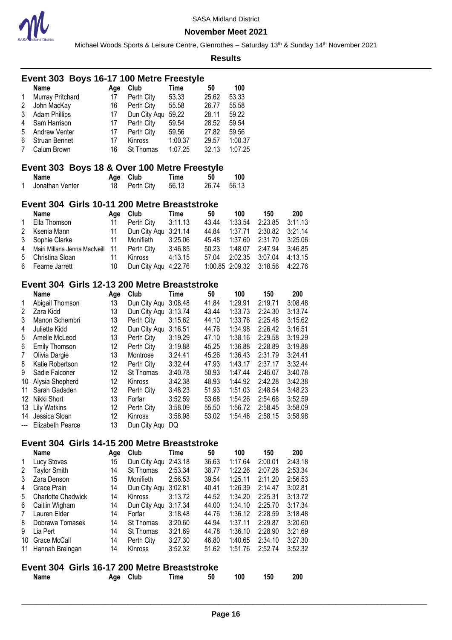

Michael Woods Sports & Leisure Centre, Glenrothes - Saturday 13<sup>th</sup> & Sunday 14<sup>th</sup> November 2021

|                | Event 303 Boys 16-17 100 Metre Freestyle     |                                                                                                |                      |             |       |                 |         |         |  |  |  |  |
|----------------|----------------------------------------------|------------------------------------------------------------------------------------------------|----------------------|-------------|-------|-----------------|---------|---------|--|--|--|--|
|                | <b>Name</b>                                  | Age                                                                                            | Club                 | <b>Time</b> | 50    | 100             |         |         |  |  |  |  |
| 1              | Murray Pritchard                             | 17                                                                                             | Perth City           | 53.33       | 25.62 | 53.33           |         |         |  |  |  |  |
| 2              | John MacKay                                  | 16                                                                                             | Perth City           | 55.58       | 26.77 | 55.58           |         |         |  |  |  |  |
| 3              | <b>Adam Phillips</b>                         | 17                                                                                             | Dun City Aqu 59.22   |             | 28.11 | 59.22           |         |         |  |  |  |  |
| 4              | Sam Harrison                                 | 17                                                                                             | Perth City           | 59.54       | 28.52 | 59.54           |         |         |  |  |  |  |
| 5              | <b>Andrew Venter</b>                         | 17                                                                                             | Perth City           | 59.56       | 27.82 | 59.56           |         |         |  |  |  |  |
| 6              | Struan Bennet                                | 17                                                                                             | Kinross              | 1:00.37     | 29.57 | 1:00.37         |         |         |  |  |  |  |
| $\overline{7}$ | Calum Brown                                  | 16                                                                                             | St Thomas            | 1:07.25     | 32.13 | 1:07.25         |         |         |  |  |  |  |
|                | Event 303 Boys 18 & Over 100 Metre Freestyle |                                                                                                |                      |             |       |                 |         |         |  |  |  |  |
|                | <b>Name</b>                                  | Age                                                                                            | Club                 | <b>Time</b> | 50    | 100             |         |         |  |  |  |  |
| 1              | Jonathan Venter                              | 18                                                                                             | Perth City           | 56.13       | 26.74 | 56.13           |         |         |  |  |  |  |
|                | Event 304 Girls 10-11 200 Metre Breaststroke |                                                                                                |                      |             |       |                 |         |         |  |  |  |  |
|                | <b>Name</b>                                  | Age                                                                                            | Club                 | <b>Time</b> | 50    | 100             | 150     | 200     |  |  |  |  |
| 1              | Ella Thomson                                 | 11                                                                                             | Perth City           | 3:11.13     | 43.44 | 1:33.54         | 2:23.85 | 3:11.13 |  |  |  |  |
| 2              | Ksenia Mann                                  | 11                                                                                             | Dun City Aqu 3:21.14 |             | 44.84 | 1:37.71         | 2:30.82 | 3:21.14 |  |  |  |  |
| 3              | Sophie Clarke                                | 11                                                                                             | Monifieth            | 3:25.06     | 45.48 | 1:37.60         | 2:31.70 | 3:25.06 |  |  |  |  |
| 4              | Mairi Millana Jenna MacNeill                 | 11                                                                                             | Perth City           | 3:46.85     | 50.23 | 1:48.07         | 2:47.94 | 3:46.85 |  |  |  |  |
| 5              | Christina Sloan                              | 11                                                                                             | Kinross              | 4:13.15     | 57.04 | 2:02.35         | 3:07.04 | 4:13.15 |  |  |  |  |
| 6              | Fearne Jarrett                               | 10                                                                                             | Dun City Aqu 4:22.76 |             |       | 1:00.85 2:09.32 | 3:18.56 | 4:22.76 |  |  |  |  |
|                | Event 304 Girls 12-13 200 Metre Breaststroke |                                                                                                |                      |             |       |                 |         |         |  |  |  |  |
|                | <b>Name</b>                                  | Age                                                                                            | Club                 | <b>Time</b> | 50    | 100             | 150     | 200     |  |  |  |  |
| 1              | Abigail Thomson                              | 13                                                                                             | Dun City Aqu 3:08.48 |             | 41.84 | 1:29.91         | 2:19.71 | 3:08.48 |  |  |  |  |
| 2              | Zara Kidd                                    | 13                                                                                             | Dun City Aqu 3:13.74 |             | 43.44 | 1:33.73         | 2:24.30 | 3:13.74 |  |  |  |  |
| 3              | Manon Schembri                               | 13                                                                                             | Perth City           | 3:15.62     | 44.10 | 1:33.76         | 2:25.48 | 3:15.62 |  |  |  |  |
| 4              | Juliette Kidd                                | 12                                                                                             | Dun City Aqu 3:16.51 |             | 44.76 | 1:34.98         | 2:26.42 | 3:16.51 |  |  |  |  |
| 5              | Amelle McLeod                                | 13                                                                                             | Perth City           | 3:19.29     | 47.10 | 1:38.16         | 2:29.58 | 3:19.29 |  |  |  |  |
| 6              | <b>Emily Thomson</b>                         | 12                                                                                             | Perth City           | 3:19.88     | 45.25 | 1:36.88         | 2:28.89 | 3:19.88 |  |  |  |  |
| $\overline{7}$ | Olivia Dargie                                | 13                                                                                             | Montrose             | 3:24.41     | 45.26 | 1:36.43         | 2:31.79 | 3:24.41 |  |  |  |  |
| 8              | Katie Robertson                              | 12                                                                                             | Perth City           | 3:32.44     | 47.93 | 1:43.17         | 2:37.17 | 3:32.44 |  |  |  |  |
| 9              | Sadie Falconer                               | 12                                                                                             | St Thomas            | 3:40.78     | 50.93 | 1:47.44         | 2:45.07 | 3:40.78 |  |  |  |  |
| 10             | Alysia Shepherd                              | 12                                                                                             | Kinross              | 3:42.38     | 48.93 | 1:44.92         | 2:42.28 | 3:42.38 |  |  |  |  |
| 11             | Sarah Gadsden                                | 12                                                                                             | Perth City           | 3:48.23     | 51.93 | 1:51.03         | 2:48.54 | 3:48.23 |  |  |  |  |
| 12             | Nikki Short                                  | 13                                                                                             | Forfar               | 3:52.59     | 53.68 | 1:54.26         | 2:54.68 | 3:52.59 |  |  |  |  |
| 13             | <b>Lily Watkins</b>                          | 12                                                                                             | Perth City           | 3:58.09     | 55.50 | 1:56.72         | 2:58.45 | 3:58.09 |  |  |  |  |
| 14             | Jessica Sloan                                | 12                                                                                             | Kinross              | 3:58.98     | 53.02 | 1:54.48         | 2:58.15 | 3:58.98 |  |  |  |  |
| ---            | Elizabeth Pearce                             | 13                                                                                             | Dun City Aqu DQ      |             |       |                 |         |         |  |  |  |  |
|                | Event 304 Girls 14-15 200 Metre Breaststroke |                                                                                                |                      |             |       |                 |         |         |  |  |  |  |
|                | <b>Name</b>                                  |                                                                                                | Club                 | Time        | 50    | 100             | 150     | 200     |  |  |  |  |
|                |                                              | Age<br>15                                                                                      | Dun City Aqu 2:43.18 |             | 36.63 | 1:17.64         | 2:00.01 | 2:43.18 |  |  |  |  |
| 1<br>2         | Lucy Stoves                                  | 14                                                                                             | St Thomas            | 2:53.34     | 38.77 | 1:22.26         | 2:07.28 | 2:53.34 |  |  |  |  |
| 3              | <b>Taylor Smith</b>                          | 15                                                                                             | Monifieth            |             |       |                 |         | 2:56.53 |  |  |  |  |
|                | Zara Denson                                  |                                                                                                |                      | 2:56.53     | 39.54 | 1:25.11         | 2:11.20 |         |  |  |  |  |
| 4              | Grace Prain                                  | 14                                                                                             | Dun City Aqu 3:02.81 |             | 40.41 | 1:26.39         | 2:14.47 | 3:02.81 |  |  |  |  |
| 5              | <b>Charlotte Chadwick</b>                    | 14                                                                                             | Kinross              | 3:13.72     | 44.52 | 1:34.20         | 2:25.31 | 3:13.72 |  |  |  |  |
| 6              | Caitlin Wigham                               | 14                                                                                             | Dun City Aqu 3:17.34 |             | 44.00 | 1:34.10         | 2:25.70 | 3:17.34 |  |  |  |  |
| 7              | Lauren Elder                                 | 14                                                                                             | Forfar               | 3:18.48     | 44.76 | 1:36.12         | 2:28.59 | 3:18.48 |  |  |  |  |
| 8              | Dobrawa Tomasek                              | 14                                                                                             | St Thomas            | 3:20.60     | 44.94 | 1:37.11         | 2:29.87 | 3:20.60 |  |  |  |  |
| 9              | Lia Pert                                     | 14                                                                                             | St Thomas            | 3:21.69     | 44.78 | 1:36.10         | 2:28.90 | 3:21.69 |  |  |  |  |
| 10             | Grace McCall                                 | 14                                                                                             | Perth City           | 3:27.30     | 46.80 | 1:40.65         | 2:34.10 | 3:27.30 |  |  |  |  |
| 11             | Hannah Breingan                              | 14                                                                                             | Kinross              | 3:52.32     | 51.62 | 1:51.76         | 2:52.74 | 3:52.32 |  |  |  |  |
|                |                                              |                                                                                                |                      |             |       |                 |         |         |  |  |  |  |
|                | Name                                         | Event 304 Girls 16-17 200 Metre Breaststroke<br>Club<br>50<br>100<br>200<br>Time<br>150<br>Age |                      |             |       |                 |         |         |  |  |  |  |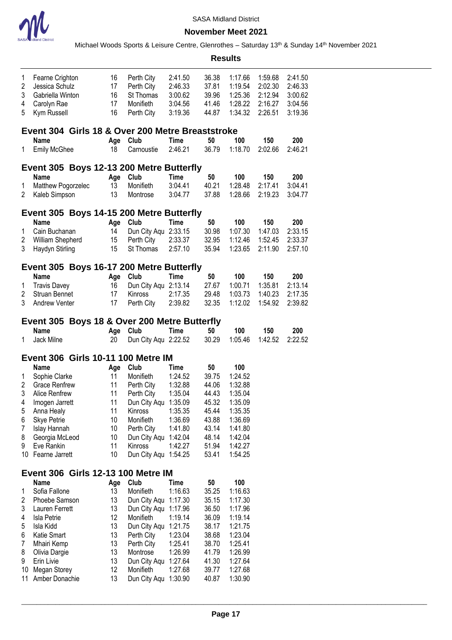

### **November Meet 2021**

|                |                                                  |          |                         |                    |                | <b>Results</b>     |         |         |
|----------------|--------------------------------------------------|----------|-------------------------|--------------------|----------------|--------------------|---------|---------|
| 1              | Fearne Crighton                                  | 16       | Perth City              | 2:41.50            | 36.38          | 1:17.66            | 1:59.68 | 2:41.50 |
| $\overline{2}$ | Jessica Schulz                                   | 17       | Perth City              | 2:46.33            | 37.81          | 1:19.54            | 2:02.30 | 2:46.33 |
| 3              | Gabriella Winton                                 | 16       | St Thomas               | 3:00.62            | 39.96          | 1:25.36            | 2:12.94 | 3:00.62 |
| 4              | Carolyn Rae                                      | 17       | Monifieth               | 3:04.56            | 41.46          | 1:28.22            | 2:16.27 | 3:04.56 |
| 5              | Kym Russell                                      | 16       | Perth City              | 3:19.36            | 44.87          | 1:34.32            | 2:26.51 | 3:19.36 |
|                | Event 304 Girls 18 & Over 200 Metre Breaststroke |          |                         |                    |                |                    |         |         |
|                | Name                                             | Age      | Club                    | <b>Time</b>        | 50             | 100                | 150     | 200     |
| 1              | <b>Emily McGhee</b>                              | 18       | Carnoustie              | 2:46.21            | 36.79          | 1:18.70            | 2:02.66 | 2:46.21 |
|                | Event 305 Boys 12-13 200 Metre Butterfly         |          |                         |                    |                |                    |         |         |
|                | Name                                             | Age      | Club                    | <b>Time</b>        | 50             | 100                | 150     | 200     |
| 1              | Matthew Pogorzelec                               | 13       | Monifieth               | 3:04.41            | 40.21          | 1:28.48            | 2:17.41 | 3:04.41 |
| 2              | Kaleb Simpson                                    | 13       | Montrose                | 3:04.77            | 37.88          | 1:28.66            | 2:19.23 | 3:04.77 |
|                | Event 305 Boys 14-15 200 Metre Butterfly         |          |                         |                    |                |                    |         |         |
|                | <b>Name</b>                                      | Age      | Club                    | <b>Time</b>        | 50             | 100                | 150     | 200     |
| 1              | Cain Buchanan                                    | 14       | Dun City Aqu 2:33.15    |                    | 30.98          | 1:07.30            | 1:47.03 | 2:33.15 |
| 2              | William Shepherd                                 | 15       | Perth City              | 2:33.37            | 32.95          | 1:12.46            | 1:52.45 | 2:33.37 |
| 3              | Haydyn Stirling                                  | 15       | St Thomas               | 2:57.10            | 35.94          | 1:23.65            | 2:11.90 | 2:57.10 |
|                | Event 305 Boys 16-17 200 Metre Butterfly         |          |                         |                    |                |                    |         |         |
|                | <b>Name</b>                                      |          | Age Club                | <b>Time</b>        | 50             | 100                | 150     | 200     |
| 1              | <b>Travis Davey</b>                              | 16       | Dun City Aqu 2:13.14    |                    | 27.67          | 1:00.71            | 1:35.81 | 2:13.14 |
| 2              | Struan Bennet                                    | 17       | Kinross                 | 2:17.35            | 29.48          | 1:03.73            | 1:40.23 | 2:17.35 |
| 3              | Andrew Venter                                    | 17       | Perth City              | 2:39.82            | 32.35          | 1:12.02            | 1:54.92 | 2:39.82 |
|                | Event 305 Boys 18 & Over 200 Metre Butterfly     |          |                         |                    |                |                    |         |         |
|                | <b>Name</b>                                      | Age      | Club                    | <b>Time</b>        | 50             | 100                | 150     | 200     |
| 1              | Jack Milne                                       | 20       | Dun City Aqu 2:22.52    |                    | 30.29          | 1:05.46            | 1:42.52 | 2:22.52 |
|                | Event 306 Girls 10-11 100 Metre IM               |          |                         |                    |                |                    |         |         |
|                | <b>Name</b>                                      | Age      | Club                    | <b>Time</b>        | 50             | 100                |         |         |
| 1              | Sophie Clarke                                    | 11       | Monifieth               | 1:24.52            | 39.75          | 1:24.52            |         |         |
| 2              | <b>Grace Renfrew</b>                             | 11       | Perth City              | 1:32.88            | 44.06          | 1:32.88            |         |         |
| 3              | Alice Renfrew                                    | 11       | Perth City              | 1:35.04            | 44.43          | 1:35.04            |         |         |
| 4              | Imogen Jarrett                                   | 11       | Dun City Aqu 1:35.09    |                    | 45.32          | 1:35.09            |         |         |
| 5              | Anna Healy                                       | 11       | Kinross                 | 1:35.35            | 45.44          | 1:35.35            |         |         |
| 6<br>7         | Skye Petrie<br>Islay Hannah                      | 10<br>10 | Monifieth<br>Perth City | 1:36.69<br>1:41.80 | 43.88<br>43.14 | 1:36.69<br>1:41.80 |         |         |
| 8              | Georgia McLeod                                   | 10       | Dun City Aqu 1:42.04    |                    | 48.14          | 1:42.04            |         |         |
| 9              | Eve Rankin                                       | 11       | Kinross                 | 1:42.27            | 51.94          | 1:42.27            |         |         |
|                | 10 Fearne Jarrett                                | 10       | Dun City Aqu 1:54.25    |                    | 53.41          | 1:54.25            |         |         |
|                | <b>Event 306 Girls 12-13 100 Metre IM</b>        |          |                         |                    |                |                    |         |         |
|                | <b>Name</b>                                      | Age      | Club                    | Time               | 50             | 100                |         |         |
| 1              | Sofia Fallone                                    | 13       | Monifieth               | 1:16.63            | 35.25          | 1:16.63            |         |         |
| 2              | Phoebe Samson                                    | 13       | Dun City Aqu 1:17.30    |                    | 35.15          | 1:17.30            |         |         |
| 3              | Lauren Ferrett                                   | 13       | Dun City Aqu 1:17.96    |                    | 36.50          | 1:17.96            |         |         |
| 4              | Isla Petrie                                      | 12       | Monifieth               | 1:19.14            | 36.09          | 1:19.14            |         |         |
| 5              | Isla Kidd                                        | 13       | Dun City Aqu 1:21.75    |                    | 38.17          | 1:21.75            |         |         |
| 6              | Katie Smart                                      | 13       | Perth City              | 1:23.04            | 38.68          | 1:23.04            |         |         |
| 7              | Mhairi Kemp                                      | 13       | Perth City              | 1:25.41            | 38.70          | 1:25.41            |         |         |
| 8              | Olivia Dargie                                    | 13       | Montrose                | 1:26.99            | 41.79          | 1:26.99            |         |         |
| 9              | Erin Livie                                       | 13       | Dun City Aqu 1:27.64    |                    | 41.30          | 1:27.64            |         |         |
| 10             | Megan Storey                                     | 12       | Monifieth               | 1:27.68            | 39.77          | 1:27.68            |         |         |
| 11             | Amber Donachie                                   | 13       | Dun City Aqu 1:30.90    |                    | 40.87          | 1:30.90            |         |         |
|                |                                                  |          |                         |                    |                |                    |         |         |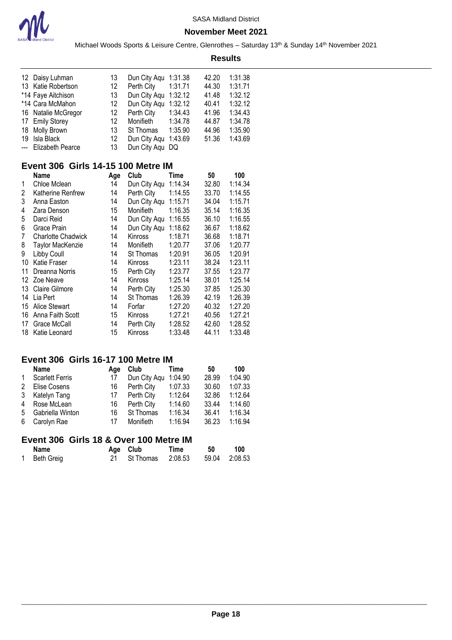

Michael Woods Sports & Leisure Centre, Glenrothes - Saturday 13<sup>th</sup> & Sunday 14<sup>th</sup> November 2021 **Results**

| 12 Daisy Luhman      | 13 |            |                         | 42.20                                                                                                                      | 1:31.38 |
|----------------------|----|------------|-------------------------|----------------------------------------------------------------------------------------------------------------------------|---------|
| 13 Katie Robertson   | 12 | Perth City | 1:31.71                 | 44.30                                                                                                                      | 1:31.71 |
| *14 Faye Aitchison   | 13 |            |                         | 41.48                                                                                                                      | 1:32.12 |
| *14 Cara McMahon     | 12 |            |                         | 40.41                                                                                                                      | 1:32.12 |
| 16 Natalie McGregor  | 12 |            | 1:34.43                 | 41.96                                                                                                                      | 1:34.43 |
| 17 Emily Storey      | 12 | Monifieth  |                         | 44.87                                                                                                                      | 1:34.78 |
| 18 Molly Brown       | 13 |            | 1:35.90                 | 44.96                                                                                                                      | 1:35.90 |
| 19 Isla Black        | 12 |            |                         | 51.36                                                                                                                      | 1:43.69 |
| --- Elizabeth Pearce | 13 |            |                         |                                                                                                                            |         |
|                      |    |            | Perth City<br>St Thomas | Dun City Aqu 1:31.38<br>Dun City Agu 1:32.12<br>Dun City Agu 1:32.12<br>1:34.78<br>Dun City Aqu 1:43.69<br>Dun City Agu DQ |         |

# **Event 306 Girls 14-15 100 Metre IM**

|    | Name                      | Age | Club         | Time    | 50    | 100     |
|----|---------------------------|-----|--------------|---------|-------|---------|
| 1  | Chloe Mclean              | 14  | Dun City Aqu | 1:14.34 | 32.80 | 1:14.34 |
| 2  | Katherine Renfrew         | 14  | Perth City   | 1:14.55 | 33.70 | 1:14.55 |
| 3  | Anna Easton               | 14  | Dun City Aqu | 1:15.71 | 34.04 | 1:15.71 |
| 4  | Zara Denson               | 15  | Monifieth    | 1:16.35 | 35.14 | 1:16.35 |
| 5  | Darci Reid                | 14  | Dun City Aqu | 1:16.55 | 36.10 | 1:16.55 |
| 6  | Grace Prain               | 14  | Dun City Aqu | 1:18.62 | 36.67 | 1:18.62 |
| 7  | <b>Charlotte Chadwick</b> | 14  | Kinross      | 1:18.71 | 36.68 | 1:18.71 |
| 8  | <b>Taylor MacKenzie</b>   | 14  | Monifieth    | 1:20.77 | 37.06 | 1:20.77 |
| 9  | Libby Coull               | 14  | St Thomas    | 1:20.91 | 36.05 | 1:20.91 |
| 10 | Katie Fraser              | 14  | Kinross      | 1:23.11 | 38.24 | 1:23.11 |
| 11 | Dreanna Norris            | 15  | Perth City   | 1:23.77 | 37.55 | 1:23.77 |
| 12 | Zoe Neave                 | 14  | Kinross      | 1:25.14 | 38.01 | 1:25.14 |
| 13 | <b>Claire Gilmore</b>     | 14  | Perth City   | 1:25.30 | 37.85 | 1:25.30 |
| 14 | Lia Pert                  | 14  | St Thomas    | 1:26.39 | 42.19 | 1:26.39 |
| 15 | <b>Alice Stewart</b>      | 14  | Forfar       | 1:27.20 | 40.32 | 1:27.20 |
| 16 | Anna Faith Scott          | 15  | Kinross      | 1:27.21 | 40.56 | 1:27.21 |
| 17 | Grace McCall              | 14  | Perth City   | 1:28.52 | 42.60 | 1:28.52 |
| 18 | Katie Leonard             | 15  | Kinross      | 1:33.48 | 44.11 | 1:33.48 |

### **Event 306 Girls 16-17 100 Metre IM**

| <b>Name</b>            | Aae | Club         | Time    | 50    | 100     |
|------------------------|-----|--------------|---------|-------|---------|
| <b>Scarlett Ferris</b> | 17  | Dun City Agu | 1:04.90 | 28.99 | 1:04.90 |
| Elise Cosens           | 16  | Perth City   | 1:07.33 | 30.60 | 1:07.33 |
| Katelyn Tang           | 17  | Perth City   | 1:12.64 | 32.86 | 1:12.64 |
| Rose McLean            | 16  | Perth City   | 1:14.60 | 33.44 | 1:14.60 |
| Gabriella Winton       | 16  | St Thomas    | 1:16.34 | 36.41 | 1:16.34 |
| Carolyn Rae            | 17  | Monifieth    | 1:16.94 | 36.23 | 1:16.94 |
|                        |     |              |         |       |         |
|                        |     |              |         |       |         |

# **Event 306 Girls 18 & Over 100 Metre IM**

| Name       | Age Club             | Time | 50 | 100           |
|------------|----------------------|------|----|---------------|
| Beth Greig | 21 St Thomas 2:08.53 |      |    | 59.04 2:08.53 |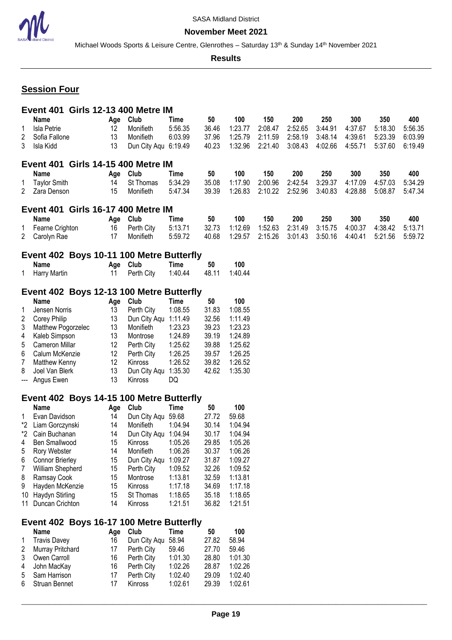

Michael Woods Sports & Leisure Centre, Glenrothes - Saturday 13<sup>th</sup> & Sunday 14<sup>th</sup> November 2021

**Results**

# **Session Four**

|                |                     |           | <b>Event 401 Girls 12-13 400 Metre IM</b>        |             |       |         |         |         |         |         |         |         |
|----------------|---------------------|-----------|--------------------------------------------------|-------------|-------|---------|---------|---------|---------|---------|---------|---------|
|                | <b>Name</b>         | Age       | Club                                             | Time        | 50    | 100     | 150     | 200     | 250     | 300     | 350     | 400     |
| 1              | <b>Isla Petrie</b>  | 12        | Monifieth                                        | 5:56.35     | 36.46 | 1:23.77 | 2:08.47 | 2:52.65 | 3:44.91 | 4:37.67 | 5:18.30 | 5:56.35 |
| $\overline{c}$ | Sofia Fallone       | 13        | Monifieth                                        | 6:03.99     | 37.96 | 1:25.79 | 2:11.59 | 2:58.19 | 3:48.14 | 4:39.61 | 5:23.39 | 6:03.99 |
| 3              | Isla Kidd           | 13        | Dun City Aqu 6:19.49                             |             | 40.23 | 1:32.96 | 2:21.40 | 3:08.43 | 4:02.66 | 4:55.71 | 5:37.60 | 6:19.49 |
|                |                     |           |                                                  |             |       |         |         |         |         |         |         |         |
|                |                     |           | <b>Event 401 Girls 14-15 400 Metre IM</b>        |             |       |         |         |         |         |         |         |         |
|                | Name                | Age       | Club                                             | Time        | 50    | 100     | 150     | 200     | 250     | 300     | 350     | 400     |
| 1              | <b>Taylor Smith</b> | 14        | St Thomas                                        | 5:34.29     | 35.08 | 1:17.90 | 2:00.96 | 2:42.54 | 3:29.37 | 4:17.09 | 4:57.03 | 5:34.29 |
| 2              | Zara Denson         | 15        | Monifieth                                        | 5:47.34     | 39.39 | 1:26.83 | 2:10.22 | 2:52.96 | 3:40.83 | 4:28.88 | 5:08.87 | 5:47.34 |
|                |                     |           |                                                  |             |       |         |         |         |         |         |         |         |
|                |                     |           | <b>Event 401 Girls 16-17 400 Metre IM</b>        |             |       |         |         |         |         |         |         |         |
|                | <b>Name</b>         | Age Club  |                                                  | Time        | 50    | 100     | 150     | 200     | 250     | 300     | 350     | 400     |
| 1              | Fearne Crighton     | 16        | Perth City                                       | 5:13.71     | 32.73 | 1:12.69 | 1:52.63 | 2:31.49 | 3:15.75 | 4:00.37 | 4:38.42 | 5:13.71 |
| $\mathbf{2}$   | Carolyn Rae         | 17        | Monifieth                                        | 5:59.72     | 40.68 | 1:29.57 | 2:15.26 | 3:01.43 | 3:50.16 | 4:40.41 | 5:21.56 | 5:59.72 |
|                |                     |           | Event 402 Boys 10-11 100 Metre Butterfly         |             |       |         |         |         |         |         |         |         |
|                | Name                | Age Club  |                                                  | Time        | 50    | 100     |         |         |         |         |         |         |
| 1.             | <b>Harry Martin</b> | 11        | Perth City                                       | 1:40.44     | 48.11 | 1:40.44 |         |         |         |         |         |         |
|                |                     |           |                                                  |             |       |         |         |         |         |         |         |         |
|                |                     |           | Event 402 Boys 12-13 100 Metre Butterfly         |             |       |         |         |         |         |         |         |         |
|                | <b>Name</b>         | Age       | Club                                             | <b>Time</b> | 50    | 100     |         |         |         |         |         |         |
| 1              | Jensen Norris       | 13        | Perth City                                       | 1:08.55     | 31.83 | 1:08.55 |         |         |         |         |         |         |
| $\overline{c}$ | Corey Philip        | 13        | Dun City Aqu 1:11.49                             |             | 32.56 | 1:11.49 |         |         |         |         |         |         |
| 3              | Matthew Pogorzelec  | 13        | Monifieth                                        | 1:23.23     | 39.23 | 1:23.23 |         |         |         |         |         |         |
| 4              | Kaleb Simpson       | 13        | Montrose                                         | 1:24.89     | 39.19 | 1:24.89 |         |         |         |         |         |         |
| 5              | Cameron Millar      | 12        | Perth City                                       | 1:25.62     | 39.88 | 1:25.62 |         |         |         |         |         |         |
| 6              | Calum McKenzie      | 12        | Perth City                                       | 1:26.25     | 39.57 | 1:26.25 |         |         |         |         |         |         |
| $\overline{7}$ | Matthew Kenny       | 12        | Kinross                                          | 1:26.52     | 39.82 | 1:26.52 |         |         |         |         |         |         |
| 8              | Joel Van Blerk      | 13        | Dun City Aqu 1:35.30                             |             | 42.62 | 1:35.30 |         |         |         |         |         |         |
| ---            | Angus Ewen          | 13        | Kinross                                          | DQ          |       |         |         |         |         |         |         |         |
|                |                     |           |                                                  |             |       |         |         |         |         |         |         |         |
|                |                     |           | Event 402 Boys 14-15 100 Metre Butterfly         |             |       |         |         |         |         |         |         |         |
|                | Name                | Age       | Club                                             | Time        | 50    | 100     |         |         |         |         |         |         |
| 1              | Evan Davidson       | 14        | Dun City Aqu 59.68                               |             | 27.72 | 59.68   |         |         |         |         |         |         |
|                | *2 Liam Gorczynski  | 14        | Monifieth                                        | 1:04.94     | 30.14 | 1:04.94 |         |         |         |         |         |         |
|                | *2 Cain Buchanan    | 14        | Dun City Aqu 1:04.94                             |             | 30.17 | 1:04.94 |         |         |         |         |         |         |
| 4              | Ben Smallwood       | 15        | Kinross                                          | 1:05.26     | 29.85 | 1:05.26 |         |         |         |         |         |         |
| 5              | Rory Webster        | 14        | Monifieth                                        | 1:06.26     | 30.37 | 1:06.26 |         |         |         |         |         |         |
| 6              | Connor Brierley     | 15        | Dun City Aqu                                     | 1:09.27     | 31.87 | 1:09.27 |         |         |         |         |         |         |
| 7              | William Shepherd    | 15        | Perth City                                       | 1:09.52     | 32.26 | 1:09.52 |         |         |         |         |         |         |
| 8              | Ramsay Cook         | 15        | Montrose                                         | 1:13.81     | 32.59 | 1:13.81 |         |         |         |         |         |         |
| 9              | Hayden McKenzie     | 15        | Kinross                                          | 1:17.18     | 34.69 | 1:17.18 |         |         |         |         |         |         |
| 10             | Haydyn Stirling     | 15        | St Thomas                                        | 1:18.65     | 35.18 | 1:18.65 |         |         |         |         |         |         |
|                | 11 Duncan Crichton  | 14        | Kinross                                          | 1:21.51     | 36.82 | 1:21.51 |         |         |         |         |         |         |
|                |                     |           |                                                  |             |       |         |         |         |         |         |         |         |
|                | <b>Name</b>         |           | Event 402 Boys 16-17 100 Metre Butterfly<br>Club | <b>Time</b> | 50    | 100     |         |         |         |         |         |         |
| 1              | <b>Travis Davey</b> | Age<br>16 | Dun City Aqu                                     | 58.94       | 27.82 | 58.94   |         |         |         |         |         |         |
| $\overline{c}$ |                     | 17        |                                                  |             | 27.70 | 59.46   |         |         |         |         |         |         |
|                | Murray Pritchard    |           | Perth City                                       | 59.46       |       |         |         |         |         |         |         |         |
| 3              | Owen Carroll        | 16        | Perth City                                       | 1:01.30     | 28.80 | 1:01.30 |         |         |         |         |         |         |
| 4              | John MacKay         | 16        | Perth City                                       | 1:02.26     | 28.87 | 1:02.26 |         |         |         |         |         |         |
| 5              | Sam Harrison        | 17        | Perth City                                       | 1:02.40     | 29.09 | 1:02.40 |         |         |         |         |         |         |
| 6              | Struan Bennet       | 17        | Kinross                                          | 1:02.61     | 29.39 | 1:02.61 |         |         |         |         |         |         |
|                |                     |           |                                                  |             |       |         |         |         |         |         |         |         |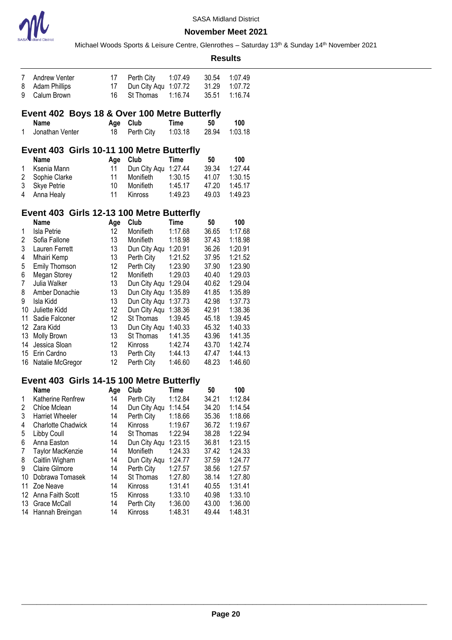

|                                           |                                              |          |                            |                    |                | <b>Results</b>     |  |  |  |  |
|-------------------------------------------|----------------------------------------------|----------|----------------------------|--------------------|----------------|--------------------|--|--|--|--|
| 7                                         | <b>Andrew Venter</b>                         | 17       | Perth City                 | 1:07.49            | 30.54          | 1:07.49            |  |  |  |  |
| 8                                         | <b>Adam Phillips</b>                         | 17       | Dun City Aqu               | 1:07.72            | 31.29          | 1:07.72            |  |  |  |  |
| 9                                         | Calum Brown                                  | 16       | St Thomas                  | 1:16.74            | 35.51          | 1:16.74            |  |  |  |  |
|                                           | Event 402 Boys 18 & Over 100 Metre Butterfly |          |                            |                    |                |                    |  |  |  |  |
|                                           | <b>Name</b>                                  | Age      | Club                       | <b>Time</b>        | 50             | 100                |  |  |  |  |
| 1                                         | Jonathan Venter                              | 18       | Perth City                 | 1:03.18            | 28.94          | 1:03.18            |  |  |  |  |
|                                           | Event 403 Girls 10-11 100 Metre Butterfly    |          |                            |                    |                |                    |  |  |  |  |
|                                           | <b>Name</b>                                  | Age      | Club                       | <b>Time</b>        | 50             | 100                |  |  |  |  |
| 1                                         | Ksenia Mann                                  | 11       | Dun City Aqu               | 1:27.44            | 39.34          | 1:27.44            |  |  |  |  |
| 2                                         | Sophie Clarke                                | 11       | Monifieth                  | 1:30.15            | 41.07          | 1:30.15            |  |  |  |  |
| 3                                         | Skye Petrie                                  | 10       | Monifieth                  | 1:45.17            | 47.20          | 1:45.17            |  |  |  |  |
| 4                                         | Anna Healy                                   | 11       | Kinross                    | 1:49.23            | 49.03          | 1:49.23            |  |  |  |  |
| Event 403 Girls 12-13 100 Metre Butterfly |                                              |          |                            |                    |                |                    |  |  |  |  |
|                                           | Name                                         | Age      | Club                       | Time               | 50             | 100                |  |  |  |  |
| 1                                         | Isla Petrie                                  | 12       | Monifieth                  | 1:17.68            | 36.65          | 1:17.68            |  |  |  |  |
| $\overline{c}$                            | Sofia Fallone                                | 13       | Monifieth                  | 1:18.98            | 37.43          | 1:18.98            |  |  |  |  |
| 3                                         | Lauren Ferrett                               | 13       | Dun City Aqu               | 1:20.91            | 36.26          | 1:20.91            |  |  |  |  |
| 4                                         | Mhairi Kemp                                  | 13       | Perth City                 | 1:21.52            | 37.95          | 1:21.52            |  |  |  |  |
| 5                                         | Emily Thomson                                | 12       | Perth City                 | 1:23.90            | 37.90          | 1:23.90            |  |  |  |  |
| 6                                         | Megan Storey                                 | 12       | Monifieth                  | 1:29.03            | 40.40          | 1:29.03            |  |  |  |  |
| $\overline{7}$                            | Julia Walker                                 | 13       | Dun City Aqu               | 1:29.04            | 40.62          | 1:29.04            |  |  |  |  |
| 8                                         | Amber Donachie                               | 13       | Dun City Aqu               | 1:35.89            | 41.85          | 1:35.89            |  |  |  |  |
| 9                                         | Isla Kidd                                    | 13       | Dun City Aqu               | 1:37.73            | 42.98          | 1:37.73            |  |  |  |  |
| 10                                        | Juliette Kidd                                | 12       | Dun City Aqu               | 1:38.36            | 42.91          | 1:38.36            |  |  |  |  |
| 11<br>12                                  | Sadie Falconer                               | 12       | St Thomas                  | 1:39.45            | 45.18          | 1:39.45            |  |  |  |  |
| 13                                        | Zara Kidd<br>Molly Brown                     | 13<br>13 | Dun City Aqu<br>St Thomas  | 1:40.33<br>1:41.35 | 45.32<br>43.96 | 1:40.33<br>1:41.35 |  |  |  |  |
| 14                                        | Jessica Sloan                                | 12       | Kinross                    | 1:42.74            | 43.70          | 1:42.74            |  |  |  |  |
| 15                                        | Erin Cardno                                  | 13       | Perth City                 | 1:44.13            | 47.47          | 1:44.13            |  |  |  |  |
| 16                                        | Natalie McGregor                             | 12       | Perth City                 | 1:46.60            | 48.23          | 1:46.60            |  |  |  |  |
|                                           |                                              |          |                            |                    |                |                    |  |  |  |  |
|                                           | Event 403 Girls 14-15 100 Metre Butterfly    |          |                            |                    |                |                    |  |  |  |  |
|                                           | <b>Name</b>                                  | Age      | Club                       | Time               | 50             | 100<br>1:12.84     |  |  |  |  |
| 1<br>2                                    | Katherine Renfrew<br>Chloe Mclean            | 14<br>14 | Perth City                 | 1:12.84<br>1:14.54 | 34.21<br>34.20 | 1:14.54            |  |  |  |  |
| 3                                         | <b>Harriet Wheeler</b>                       | 14       | Dun City Aqu<br>Perth City | 1:18.66            | 35.36          | 1:18.66            |  |  |  |  |
| 4                                         | <b>Charlotte Chadwick</b>                    | 14       | Kinross                    | 1:19.67            | 36.72          | 1:19.67            |  |  |  |  |
| 5                                         | Libby Coull                                  | 14       | St Thomas                  | 1:22.94            | 38.28          | 1:22.94            |  |  |  |  |
| 6                                         | Anna Easton                                  | 14       | Dun City Aqu               | 1:23.15            | 36.81          | 1:23.15            |  |  |  |  |
| 7                                         | Taylor MacKenzie                             | 14       | Monifieth                  | 1:24.33            | 37.42          | 1:24.33            |  |  |  |  |
| 8                                         | Caitlin Wigham                               | 14       | Dun City Aqu               | 1:24.77            | 37.59          | 1:24.77            |  |  |  |  |
| 9                                         | Claire Gilmore                               | 14       | Perth City                 | 1:27.57            | 38.56          | 1:27.57            |  |  |  |  |
| 10                                        | Dobrawa Tomasek                              | 14       | St Thomas                  | 1:27.80            | 38.14          | 1:27.80            |  |  |  |  |
| 11                                        | Zoe Neave                                    | 14       | Kinross                    | 1:31.41            | 40.55          | 1:31.41            |  |  |  |  |
| 12                                        | Anna Faith Scott                             | 15       | Kinross                    | 1:33.10            | 40.98          | 1:33.10            |  |  |  |  |
| 13                                        | Grace McCall                                 | 14       | Perth City                 | 1:36.00            | 43.00          | 1:36.00            |  |  |  |  |
| 14                                        | Hannah Breingan                              | 14       | Kinross                    | 1:48.31            | 49.44          | 1:48.31            |  |  |  |  |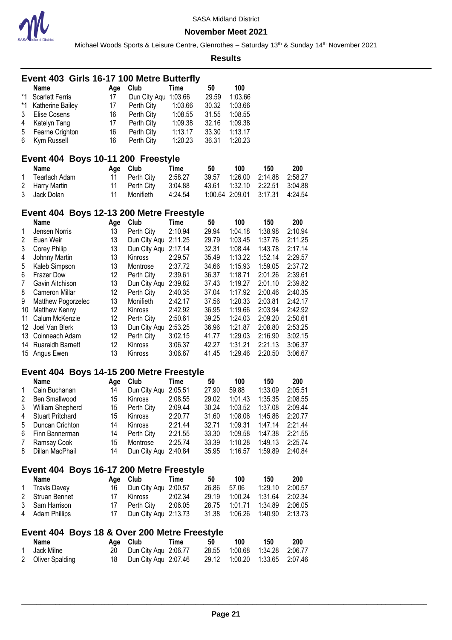

Michael Woods Sports & Leisure Centre, Glenrothes - Saturday 13<sup>th</sup> & Sunday 14<sup>th</sup> November 2021

| Event 403 Girls 16-17 100 Metre Butterfly |                                                         |           |                      |             |                 |         |         |         |  |  |  |  |
|-------------------------------------------|---------------------------------------------------------|-----------|----------------------|-------------|-----------------|---------|---------|---------|--|--|--|--|
|                                           | <b>Name</b>                                             | Age       | Club                 | Time        | 50              | 100     |         |         |  |  |  |  |
| $*1$                                      | <b>Scarlett Ferris</b>                                  | 17        | Dun City Aqu 1:03.66 |             | 29.59           | 1:03.66 |         |         |  |  |  |  |
| *1                                        | Katherine Bailey                                        | 17        | Perth City           | 1:03.66     | 30.32           | 1:03.66 |         |         |  |  |  |  |
| 3                                         | Elise Cosens                                            | 16        | Perth City           | 1:08.55     | 31.55           | 1:08.55 |         |         |  |  |  |  |
| 4                                         | Katelyn Tang                                            | 17        | Perth City           | 1:09.38     | 32.16           | 1:09.38 |         |         |  |  |  |  |
| 5                                         | Fearne Crighton                                         | 16        | Perth City           | 1:13.17     | 33.30           | 1:13.17 |         |         |  |  |  |  |
| 6                                         | Kym Russell                                             | 16        | Perth City           | 1:20.23     | 36.31           | 1:20.23 |         |         |  |  |  |  |
|                                           | Event 404 Boys 10-11 200 Freestyle                      |           |                      |             |                 |         |         |         |  |  |  |  |
|                                           | <b>Name</b>                                             |           | Club                 | Time        | 50              | 100     | 150     | 200     |  |  |  |  |
| 1                                         | <b>Tearlach Adam</b>                                    | Age<br>11 | Perth City           | 2:58.27     | 39.57           | 1:26.00 | 2:14.88 | 2:58.27 |  |  |  |  |
| 2                                         | Harry Martin                                            | 11        | Perth City           | 3:04.88     | 43.61           | 1:32.10 | 2:22.51 | 3:04.88 |  |  |  |  |
| 3                                         | Jack Dolan                                              | 11        | Monifieth            | 4:24.54     | 1:00.64 2:09.01 |         | 3:17.31 | 4:24.54 |  |  |  |  |
|                                           |                                                         |           |                      |             |                 |         |         |         |  |  |  |  |
|                                           | Event 404 Boys 12-13 200 Metre Freestyle                |           |                      |             |                 |         |         |         |  |  |  |  |
|                                           | <b>Name</b>                                             | Age       | Club                 | <b>Time</b> | 50              | 100     | 150     | 200     |  |  |  |  |
| 1                                         | Jensen Norris                                           | 13        | Perth City           | 2:10.94     | 29.94           | 1:04.18 | 1:38.98 | 2:10.94 |  |  |  |  |
| 2                                         | Euan Weir                                               | 13        | Dun City Aqu         | 2:11.25     | 29.79           | 1:03.45 | 1:37.76 | 2:11.25 |  |  |  |  |
| 3                                         | Corey Philip                                            | 13        | Dun City Aqu 2:17.14 |             | 32.31           | 1:08.44 | 1:43.78 | 2:17.14 |  |  |  |  |
| 4                                         | Johnny Martin                                           | 13        | Kinross              | 2:29.57     | 35.49           | 1:13.22 | 1:52.14 | 2:29.57 |  |  |  |  |
| 5                                         | Kaleb Simpson                                           | 13        | Montrose             | 2:37.72     | 34.66           | 1:15.93 | 1:59.05 | 2:37.72 |  |  |  |  |
| 6                                         | <b>Frazer Dow</b>                                       | 12        | Perth City           | 2:39.61     | 36.37           | 1:18.71 | 2:01.26 | 2:39.61 |  |  |  |  |
| 7                                         | Gavin Aitchison                                         | 13        | Dun City Aqu         | 2:39.82     | 37.43           | 1:19.27 | 2:01.10 | 2:39.82 |  |  |  |  |
| 8                                         | Cameron Millar                                          | 12        | Perth City           | 2:40.35     | 37.04           | 1:17.92 | 2:00.46 | 2:40.35 |  |  |  |  |
| 9                                         | Matthew Pogorzelec                                      | 13        | Monifieth            | 2:42.17     | 37.56           | 1:20.33 | 2:03.81 | 2:42.17 |  |  |  |  |
| 10                                        | Matthew Kenny                                           | 12        | Kinross              | 2:42.92     | 36.95           | 1:19.66 | 2:03.94 | 2:42.92 |  |  |  |  |
| 11                                        | Calum McKenzie                                          | 12        | Perth City           | 2:50.61     | 39.25           | 1:24.03 | 2:09.20 | 2:50.61 |  |  |  |  |
| 12                                        | Joel Van Blerk                                          | 13        | Dun City Aqu         | 2:53.25     | 36.96           | 1:21.87 | 2:08.80 | 2:53.25 |  |  |  |  |
| 13                                        | Coinneach Adam                                          | 12        | Perth City           | 3:02.15     | 41.77           | 1:29.03 | 2:16.90 | 3:02.15 |  |  |  |  |
| 14                                        | <b>Ruaraidh Barnett</b>                                 | 12        | Kinross              | 3:06.37     | 42.27           | 1:31.21 | 2:21.13 | 3:06.37 |  |  |  |  |
| 15                                        | Angus Ewen                                              | 13        | Kinross              | 3:06.67     | 41.45           | 1:29.46 | 2:20.50 | 3:06.67 |  |  |  |  |
|                                           | Event 404 Boys 14-15 200 Metre Freestyle                |           |                      |             |                 |         |         |         |  |  |  |  |
|                                           | <b>Name</b>                                             | Age       | Club                 | Time        | 50              | 100     | 150     | 200     |  |  |  |  |
| 1                                         | Cain Buchanan                                           | 14        | Dun City Aqu         | 2:05.51     | 27.90           | 59.88   | 1:33.09 | 2:05.51 |  |  |  |  |
| 2                                         | Ben Smallwood                                           | 15        | Kinross              | 2:08.55     | 29.02           | 1:01.43 | 1:35.35 | 2:08.55 |  |  |  |  |
| 3                                         | William Shepherd                                        | 15        | Perth City           | 2:09.44     | 30.24           | 1:03.52 | 1:37.08 | 2:09.44 |  |  |  |  |
| 4                                         | <b>Stuart Pritchard</b>                                 | 15        | Kinross              | 2:20.77     | 31.60           | 1:08.06 | 1:45.86 | 2:20.77 |  |  |  |  |
| 5                                         | Duncan Crichton                                         | 14        | Kinross              | 2:21.44     | 32.71           | 1:09.31 | 1:47.14 | 2:21.44 |  |  |  |  |
| 6                                         | Finn Bannerman                                          | 14        | Perth City           | 2:21.55     | 33.30           | 1:09.58 | 1:47.38 | 2:21.55 |  |  |  |  |
| 7                                         | Ramsay Cook                                             | 15        | Montrose             | 2:25.74     | 33.39           | 1:10.28 | 1:49.13 | 2:25.74 |  |  |  |  |
| 8                                         | Dillan MacPhail                                         | 14        | Dun City Aqu 2:40.84 |             | 35.95           | 1:16.57 | 1:59.89 | 2:40.84 |  |  |  |  |
|                                           |                                                         |           |                      |             |                 |         |         |         |  |  |  |  |
|                                           | Event 404 Boys 16-17 200 Metre Freestyle<br><b>Name</b> | Age       | Club                 | Time        | 50              | 100     | 150     | 200     |  |  |  |  |
| 1                                         | <b>Travis Davey</b>                                     | 16        | Dun City Aqu 2:00.57 |             | 26.86           | 57.06   | 1:29.10 | 2:00.57 |  |  |  |  |
| 2                                         | Struan Bennet                                           | 17        | Kinross              | 2:02.34     | 29.19           | 1:00.24 | 1:31.64 | 2:02.34 |  |  |  |  |
| 3                                         | Sam Harrison                                            | 17        | Perth City           | 2:06.05     | 28.75           | 1:01.71 | 1:34.89 | 2:06.05 |  |  |  |  |
| 4                                         | <b>Adam Phillips</b>                                    | 17        | Dun City Aqu 2:13.73 |             | 31.38           | 1:06.26 | 1:40.90 | 2:13.73 |  |  |  |  |
|                                           |                                                         |           |                      |             |                 |         |         |         |  |  |  |  |
|                                           | Event 404 Boys 18 & Over 200 Metre Freestyle            |           |                      |             |                 |         |         |         |  |  |  |  |
|                                           | <b>Name</b>                                             | Age       | Club                 | <b>Time</b> | 50              | 100     | 150     | 200     |  |  |  |  |
| 1                                         | Jack Milne                                              | 20        | Dun City Aqu 2:06.77 |             | 28.55           | 1:00.68 | 1:34.28 | 2:06.77 |  |  |  |  |
| 2                                         | <b>Oliver Spalding</b>                                  | 18        | Dun City Aqu 2:07.46 |             | 29.12           | 1:00.20 | 1:33.65 | 2:07.46 |  |  |  |  |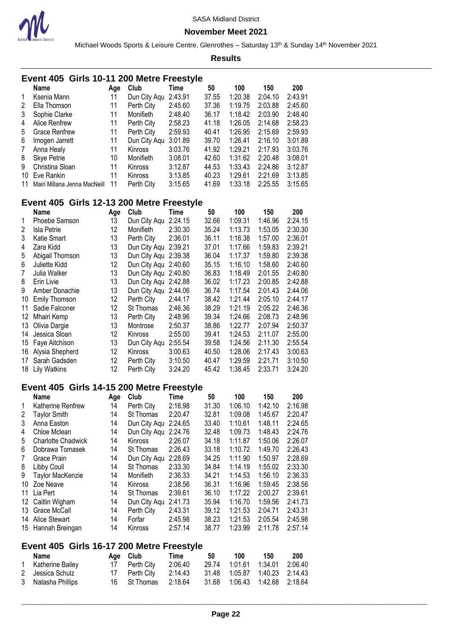

**November Meet 2021**

Michael Woods Sports & Leisure Centre, Glenrothes - Saturday 13<sup>th</sup> & Sunday 14<sup>th</sup> November 2021

|                 | Event 405 Girls 10-11 200 Metre Freestyle |     |                      |             |       |         |         |         |
|-----------------|-------------------------------------------|-----|----------------------|-------------|-------|---------|---------|---------|
|                 | <b>Name</b>                               | Age | Club                 | <b>Time</b> | 50    | 100     | 150     | 200     |
| 1               | Ksenia Mann                               | 11  | Dun City Aqu         | 2:43.91     | 37.55 | 1:20.38 | 2:04.10 | 2:43.91 |
| 2               |                                           | 11  |                      | 2:45.60     | 37.36 | 1:19.75 | 2:03.88 | 2:45.60 |
|                 | Ella Thomson                              |     | Perth City           |             |       |         |         |         |
| 3               | Sophie Clarke                             | 11  | Monifieth            | 2:48.40     | 36.17 | 1:18.42 | 2:03.90 | 2:48.40 |
| 4               | Alice Renfrew                             | 11  | Perth City           | 2:58.23     | 41.18 | 1:26.05 | 2:14.68 | 2:58.23 |
| 5               | <b>Grace Renfrew</b>                      | 11  | Perth City           | 2:59.93     | 40.41 | 1:26.95 | 2:15.69 | 2:59.93 |
| 6               | Imogen Jarrett                            | 11  | Dun City Aqu         | 3:01.89     | 39.70 | 1:26.41 | 2:16.10 | 3:01.89 |
| 7               | Anna Healy                                | 11  | Kinross              | 3:03.76     | 41.92 | 1:29.21 | 2:17.93 | 3:03.76 |
| 8               | <b>Skye Petrie</b>                        | 10  | Monifieth            |             | 42.60 | 1:31.62 | 2:20.48 | 3:08.01 |
|                 |                                           |     |                      | 3:08.01     |       |         |         |         |
| 9               | Christina Sloan                           | 11  | Kinross              | 3:12.87     | 44.53 | 1:33.43 | 2:24.86 | 3:12.87 |
| 10              | Eve Rankin                                | 11  | Kinross              | 3:13.85     | 40.23 | 1:29.61 | 2:21.69 | 3:13.85 |
| 11              | Mairi Millana Jenna MacNeill              | 11  | Perth City           | 3:15.65     | 41.69 | 1:33.18 | 2:25.55 | 3:15.65 |
|                 | Event 405 Girls 12-13 200 Metre Freestyle |     |                      |             |       |         |         |         |
|                 | <b>Name</b>                               | Age | Club                 | <b>Time</b> | 50    | 100     | 150     | 200     |
| 1               | Phoebe Samson                             | 13  | Dun City Aqu 2:24.15 |             | 32.66 | 1:09.31 | 1:46.96 | 2:24.15 |
| 2               | Isla Petrie                               | 12  | Monifieth            | 2:30.30     | 35.24 | 1:13.73 | 1:53.05 | 2:30.30 |
| 3               | Katie Smart                               | 13  | Perth City           | 2:36.01     | 36.11 | 1:16.38 | 1:57.00 | 2:36.01 |
|                 |                                           |     |                      |             |       |         |         |         |
| 4               | Zara Kidd                                 | 13  | Dun City Aqu 2:39.21 |             | 37.01 | 1:17.66 | 1:59.83 | 2:39.21 |
| 5               | Abigail Thomson                           | 13  | Dun City Aqu 2:39.38 |             | 36.04 | 1:17.37 | 1:59.80 | 2:39.38 |
| 6               | Juliette Kidd                             | 12  | Dun City Aqu 2:40.60 |             | 35.15 | 1:16.10 | 1:58.60 | 2:40.60 |
| 7               | Julia Walker                              | 13  | Dun City Aqu 2:40.80 |             | 36.83 | 1:18.49 | 2:01.55 | 2:40.80 |
| 8               | Erin Livie                                | 13  | Dun City Aqu 2:42.88 |             | 36.02 | 1:17.23 | 2:00.85 | 2:42.88 |
| 9               | Amber Donachie                            | 13  | Dun City Aqu 2:44.06 |             | 36.74 | 1:17.54 | 2:01.43 | 2:44.06 |
| 10              | <b>Emily Thomson</b>                      | 12  | Perth City           | 2:44.17     | 38.42 | 1:21.44 | 2:05.10 | 2:44.17 |
| 11              | Sadie Falconer                            | 12  | St Thomas            | 2:46.36     | 38.29 | 1:21.19 | 2:05.22 | 2:46.36 |
|                 |                                           |     |                      |             |       |         |         |         |
| 12 <sup>°</sup> | Mhairi Kemp                               | 13  | Perth City           | 2:48.96     | 39.34 | 1:24.66 | 2:08.73 | 2:48.96 |
| 13              | Olivia Dargie                             | 13  | Montrose             | 2:50.37     | 38.86 | 1:22.77 | 2:07.94 | 2:50.37 |
| 14              | Jessica Sloan                             | 12  | Kinross              | 2:55.00     | 39.41 | 1:24.53 | 2:11.07 | 2:55.00 |
| 15              | Faye Aitchison                            | 13  | Dun City Aqu         | 2:55.54     | 39.58 | 1:24.56 | 2:11.30 | 2:55.54 |
| 16              | Alysia Shepherd                           | 12  | Kinross              | 3:00.63     | 40.50 | 1:28.06 | 2:17.43 | 3:00.63 |
| 17              | Sarah Gadsden                             | 12  | Perth City           | 3:10.50     | 40.47 | 1:29.59 | 2:21.71 | 3:10.50 |
| 18              | <b>Lily Watkins</b>                       | 12  | Perth City           | 3:24.20     | 45.42 | 1:38.45 | 2:33.71 | 3:24.20 |
|                 |                                           |     |                      |             |       |         |         |         |
|                 | Event 405 Girls 14-15 200 Metre Freestyle |     |                      |             |       |         |         |         |
|                 | <b>Name</b>                               | Age | Club                 | <b>Time</b> | 50    | 100     | 150     | 200     |
| 1.              | Katherine Renfrew                         | 14  | Perth City           | 2:16.98     | 31.30 | 1:06.10 | 1:42.10 | 2:16.98 |
| 2               | <b>Taylor Smith</b>                       | 14  | St Thomas            | 2:20.47     | 32.81 | 1:09.08 | 1:45.67 | 2:20.47 |
| 3               | Anna Easton                               | 14  | Dun City Aqu 2:24.65 |             | 33.40 | 1:10.61 | 1:48.11 | 2:24.65 |
| 4               | Chloe Mclean                              | 14  | Dun City Aqu 2:24.76 |             | 32.48 | 1:09.73 | 1:48.43 | 2:24.76 |
|                 |                                           | 14  |                      |             |       |         |         |         |
| 5               | <b>Charlotte Chadwick</b>                 |     | Kinross              | 2:26.07     | 34.18 | 1:11.87 | 1:50.06 | 2:26.07 |
| 6               | Dobrawa Tomasek                           | 14  | St Thomas            | 2:26.43     | 33.18 | 1:10.72 | 1:49.70 | 2:26.43 |
| 7               | Grace Prain                               | 14  | Dun City Aqu 2:28.69 |             | 34.25 | 1:11.90 | 1:50.97 | 2:28.69 |
| 8               | Libby Coull                               | 14  | St Thomas            | 2:33.30     | 34.84 | 1:14.19 | 1:55.02 | 2:33.30 |
| 9               | Taylor MacKenzie                          | 14  | Monifieth            | 2:36.33     | 34.21 | 1:14.53 | 1:56.10 | 2:36.33 |
|                 | 10 Zoe Neave                              | 14  | Kinross              | 2:38.56     | 36.31 | 1:16.96 | 1:59.45 | 2:38.56 |
|                 | 11 Lia Pert                               | 14  | St Thomas            | 2:39.61     | 36.10 | 1:17.22 | 2:00.27 | 2:39.61 |
|                 | 12 Caitlin Wigham                         | 14  | Dun City Aqu 2:41.73 |             | 35.94 | 1:16.70 | 1:59.56 | 2:41.73 |
|                 |                                           |     |                      |             |       |         |         |         |
|                 | 13 Grace McCall                           | 14  | Perth City           | 2:43.31     | 39.12 | 1:21.53 | 2:04.71 | 2:43.31 |
|                 | 14 Alice Stewart                          | 14  | Forfar               | 2:45.98     | 38.23 | 1:21.53 | 2:05.54 | 2:45.98 |
|                 | 15 Hannah Breingan                        | 14  | Kinross              | 2:57.14     | 38.77 | 1:23.99 | 2:11.78 | 2:57.14 |
|                 | Event 405 Girls 16-17 200 Metre Freestyle |     |                      |             |       |         |         |         |
|                 | Name                                      | Age | Club                 | Time        | 50    | 100     | 150     | 200     |
| 1               | Katherine Bailey                          | 17  | Perth City           | 2:06.40     | 29.74 | 1:01.61 | 1:34.01 | 2:06.40 |
| 2               | Jessica Schulz                            | 17  | Perth City           | 2:14.43     | 31.48 | 1:05.87 | 1:40.23 | 2:14.43 |
| 3               | Natasha Phillips                          | 16  | St Thomas            | 2:18.64     | 31.68 | 1:06.43 | 1:42.68 | 2:18.64 |